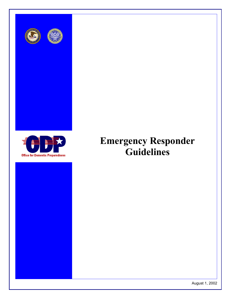





# **Emergency Responder Guidelines**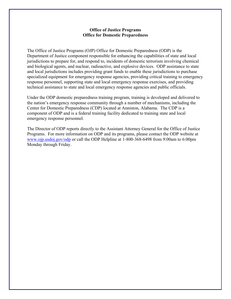#### **Office of Justice Programs Office for Domestic Preparedness**

The Office of Justice Programs (OJP) Office for Domestic Preparedness (ODP) is the Department of Justice component responsible for enhancing the capabilities of state and local jurisdictions to prepare for, and respond to, incidents of domestic terrorism involving chemical and biological agents, and nuclear, radioactive, and explosive devices. ODP assistance to state and local jurisdictions includes providing grant funds to enable these jurisdictions to purchase specialized equipment for emergency response agencies, providing critical training to emergency response personnel, supporting state and local emergency response exercises, and providing technical assistance to state and local emergency response agencies and public officials.

Under the ODP domestic preparedness training program, training is developed and delivered to the nation's emergency response community through a number of mechanisms, including the Center for Domestic Preparedness (CDP) located at Anniston, Alabama. The CDP is a component of ODP and is a federal training facility dedicated to training state and local emergency response personnel.

The Director of ODP reports directly to the Assistant Attorney General for the Office of Justice Programs. For more information on ODP and its programs, please contact the ODP website at [www.ojp.usdoj.gov/odp](http://www.ojp.usdoj.gov/odp) or call the ODP Helpline at 1-800-368-6498 from 9:00am to 6:00pm Monday through Friday.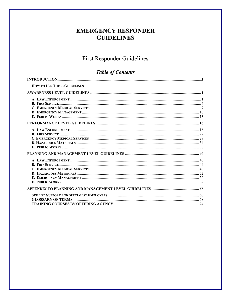# **EMERGENCY RESPONDER GUIDELINES**

# First Responder Guidelines

# **Table of Contents**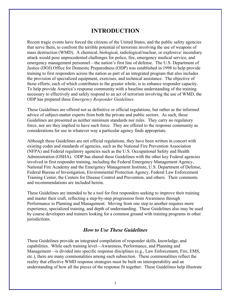# **INTRODUCTION**

Recent tragic events have forced the citizens of the United States, and the public safety agencies that serve them, to confront the terrible potential of terrorism involving the use of weapons of mass destruction (WMD). A chemical, biological, radiological/nuclear, or explosive/ incendiary attack would pose unprecedented challenges for police, fire, emergency medical service, and emergency management personnel—the nation's first line of defense. The U.S. Department of Justice (DOJ) Office for Domestic Preparedness (ODP) was established in 1998 to help provide training to first responders across the nation as part of an integrated program that also includes the provision of specialized equipment, exercises, and technical assistance. The objective of those efforts, each of which contributes to the greater whole, is to enhance responder capacity. To help provide America's response community with a baseline understanding of the training necessary to effectively and safely respond to an act of terrorism involving the use of WMD, the ODP has prepared these *Emergency Responder Guidelines*.

These Guidelines are offered not as definitive or official regulations, but rather as the informed advice of subject-matter experts from both the private and public sectors. As such, these Guidelines are presented as neither minimum standards nor rules. They carry no regulatory force, nor are they implied to have such force. They are offered to the response community as considerations for use in whatever way a particular agency finds appropriate.

Although these Guidelines are not official regulations, they have been written in concert with existing codes and standards of agencies, such as the National Fire Prevention Association (NFPA) and Federal regulatory agencies such as the U.S. Occupational Safety and Health Administration (OSHA). ODP has shared these Guidelines with the other key Federal agencies involved in first responder training, including the Federal Emergency Management Agency, National Fire Academy and the Emergency Management Institute, U.S. Department of Defense, Federal Bureau of Investigation, Environmental Protection Agency, Federal Law Enforcement Training Center, the Centers for Disease Control and Prevention, and others. Their comments and recommendations are included herein.

These Guidelines are intended to be a tool for first responders seeking to improve their training and master their craft, reflecting a step-by-step progression from Awareness through Performance to Planning and Management. Moving from one step to another requires more experience, specialized training, and depth of understanding. These Guidelines also may be used by course developers and trainers looking for a common ground with training programs in other jurisdictions.

#### *How to Use These Guidelines*

These Guidelines provide an integrated compilation of responder skills, knowledge, and capabilities. While each training level—Awareness, Performance, and Planning and Management—is divided into specific response disciplines (e.g., Law Enforcement, Fire, EMS, etc.), there are many commonalities among each subsection. These commonalities reflect the reality that effective WMD response strategies must be built on interoperability and an understanding of how all the pieces of the response fit together. These Guidelines help illustrate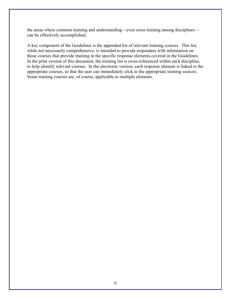the areas where common training and understanding—even cross training among disciplines can be effectively accomplished.

A key component of the Guidelines is the appended list of relevant training courses. This list, while not necessarily comprehensive, is intended to provide responders with information on those courses that provide training in the specific response elements covered in the Guidelines. In the print version of this document, the training list is cross-referenced within each discipline, to help identify relevant courses. In the electronic version, each response element is linked to the appropriate courses, so that the user can immediately click to the appropriate training sources. Some training courses are, of course, applicable to multiple elements.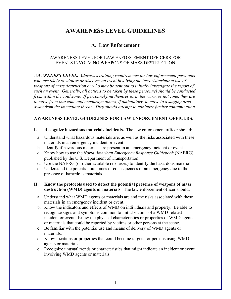# **AWARENESS LEVEL GUIDELINES**

# **A. Law Enforcement**

#### AWARENESS LEVEL FOR LAW ENFORCEMENT OFFICERS FOR EVENTS INVOLVING WEAPONS OF MASS DESTRUCTION

*AWARENESS LEVEL: Addresses training requirements for law enforcement personnel who are likely to witness or discover an event involving the terrorist/criminal use of*  weapons of mass destruction or who may be sent out to initially investigate the report of *such an event. Generally, all actions to be taken by these personnel should be conducted from within the cold zone. If personnel find themselves in the warm or hot zone, they are to move from that zone and encourage others, if ambulatory, to move to a staging area away from the immediate threat. They should attempt to minimize further contamination.* 

#### **AWARENESS LEVEL GUIDELINES FOR LAW ENFORCEMENT OFFICERS**:

- **I. Recognize hazardous materials incidents.** The law enforcement officer should:
	- a. Understand what hazardous materials are, as well as the risks associated with these materials in an emergency incident or event.
	- b. Identify if hazardous materials are present in an emergency incident or event.
	- c. Know how to use the *North American Emergency Response Guidebook* (NAERG) published by the U.S. Department of Transportation.
	- d. Use the NAERG (or other available resources) to identify the hazardous material.
	- e. Understand the potential outcomes or consequences of an emergency due to the presence of hazardous materials.
- **II. Know the protocols used to detect the potential presence of weapons of mass destruction (WMD) agents or materials**. The law enforcement officer should:
	- a. Understand what WMD agents or materials are and the risks associated with these materials in an emergency incident or event.
	- b. Know the indicators and effects of WMD on individuals and property. Be able to recognize signs and symptoms common to initial victims of a WMD-related incident or event. Know the physical characteristics or properties of WMD agents or materials that could be reported by victims or other persons at the scene.
	- c. Be familiar with the potential use and means of delivery of WMD agents or materials.
	- d. Know locations or properties that could become targets for persons using WMD agents or materials.
	- e. Recognize unusual trends or characteristics that might indicate an incident or event involving WMD agents or materials.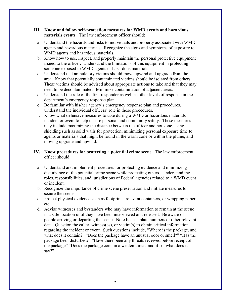#### **III. Know and follow self-protection measures for WMD events and hazardous materials events**. The law enforcement officer should:

- a. Understand the hazards and risks to individuals and property associated with WMD agents and hazardous materials. Recognize the signs and symptoms of exposure to WMD agents and hazardous materials.
- b. Know how to use, inspect, and properly maintain the personal protective equipment issued to the officer. Understand the limitations of this equipment in protecting someone exposed to WMD agents or hazardous materials.
- c. Understand that ambulatory victims should move upwind and upgrade from the area. Know that potentially contaminated victims should be isolated from others. These victims should be advised about appropriate actions to take and that they may need to be decontaminated. Minimize contamination of adjacent areas.
- d. Understand the role of the first responder as well as other levels of response in the department's emergency response plan.
- e. Be familiar with his/her agency's emergency response plan and procedures. Understand the individual officers' role in those procedures.
- f. Know what defensive measures to take during a WMD or hazardous materials incident or event to help ensure personal and community safety. These measures may include maximizing the distance between the officer and hot zone, using shielding such as solid walls for protection, minimizing personal exposure time to agents or materials that might be found in the warm zone or within the plume, and moving upgrade and upwind.
- **IV. Know procedures for protecting a potential crime scene**. The law enforcement officer should:
	- a. Understand and implement procedures for protecting evidence and minimizing disturbance of the potential crime scene while protecting others. Understand the roles, responsibilities, and jurisdictions of Federal agencies related to a WMD event or incident.
	- b. Recognize the importance of crime scene preservation and initiate measures to secure the scene.
	- c. Protect physical evidence such as footprints, relevant containers, or wrapping paper, etc.
	- d. Advise witnesses and bystanders who may have information to remain at the scene in a safe location until they have been interviewed and released. Be aware of people arriving or departing the scene. Note license plate numbers or other relevant data. Question the caller, witness(es), or victim(s) to obtain critical information regarding the incident or event. Such questions include, "Where is the package, and what does it contain?" "Does the package have an unusual odor or smell?" "Has the package been disturbed?" "Have there been any threats received before receipt of the package" "Does the package contain a written threat, and if so, what does it say?"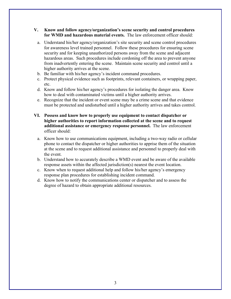#### **V. Know and follow agency/organization's scene security and control procedures for WMD and hazardous material events.** The law enforcement officer should:

- a. Understand his/her agency/organization's site security and scene control procedures for awareness level trained personnel. Follow these procedures for ensuring scene security and for keeping unauthorized persons away from the scene and adjacent hazardous areas. Such procedures include cordoning off the area to prevent anyone from inadvertently entering the scene. Maintain scene security and control until a higher authority arrives at the scene.
- b. Be familiar with his/her agency's incident command procedures.
- c. Protect physical evidence such as footprints, relevant containers, or wrapping paper, etc.
- d. Know and follow his/her agency's procedures for isolating the danger area. Know how to deal with contaminated victims until a higher authority arrives.
- e. Recognize that the incident or event scene may be a crime scene and that evidence must be protected and undisturbed until a higher authority arrives and takes control.
- **VI. Possess and know how to properly use equipment to contact dispatcher or higher authorities to report information collected at the scene and to request additional assistance or emergency response personnel.** The law enforcement officer should:
	- a. Know how to use communications equipment, including a two-way radio or cellular phone to contact the dispatcher or higher authorities to apprise them of the situation at the scene and to request additional assistance and personnel to properly deal with the event.
	- b. Understand how to accurately describe a WMD event and be aware of the available response assets within the affected jurisdiction(s) nearest the event location.
	- c. Know when to request additional help and follow his/her agency's emergency response plan procedures for establishing incident command.
	- d. Know how to notify the communications center or dispatcher and to assess the degree of hazard to obtain appropriate additional resources.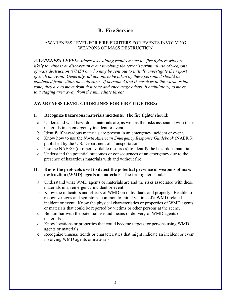#### **B. Fire Service**

#### AWARENESS LEVEL FOR FIRE FIGHTERS FOR EVENTS INVOLVING WEAPONS OF MASS DESTRUCTION

*AWARENESS LEVEL: Addresses training requirements for fire fighters who are likely to witness or discover an event involving the terrorist/criminal use of weapons of mass destruction (WMD) or who may be sent out to initially investigate the report of such an event. Generally, all actions to be taken by these personnel should be conducted from within the cold zone. If personnel find themselves in the warm or hot*  zone, they are to move from that zone and encourage others, if ambulatory, to move *to a staging area away from the immediate threat.* 

#### **AWARENESS LEVEL GUIDELINES FOR FIRE FIGHTERS:**

- **I. Recognize hazardous materials incidents**. The fire fighter should:
	- a. Understand what hazardous materials are, as well as the risks associated with these materials in an emergency incident or event.
	- b. Identify if hazardous materials are present in an emergency incident or event.
	- c. Know how to use the *North American Emergency Response Guidebook* (NAERG) published by the U.S. Department of Transportation.
	- d. Use the NAERG (or other available resources) to identify the hazardous material.
	- e. Understand the potential outcomes or consequences of an emergency due to the presence of hazardous materials with and without fire.
- **II. Know the protocols used to detect the potential presence of weapons of mass destruction (WMD) agents or materials**. The fire fighter should:
	- a. Understand what WMD agents or materials are and the risks associated with these materials in an emergency incident or event.
	- b. Know the indicators and effects of WMD on individuals and property. Be able to recognize signs and symptoms common to initial victims of a WMD-related incident or event. Know the physical characteristics or properties of WMD agents or materials that could be reported by victims or other persons at the scene.
	- c. Be familiar with the potential use and means of delivery of WMD agents or materials.
	- d. Know locations or properties that could become targets for persons using WMD agents or materials.
	- e. Recognize unusual trends or characteristics that might indicate an incident or event involving WMD agents or materials.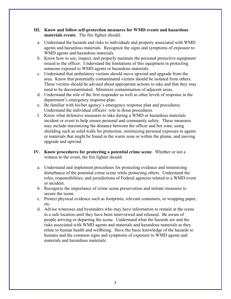#### **III. Know and follow self-protection measures for WMD events and hazardous materials events**. The fire fighter should:

- a. Understand the hazards and risks to individuals and property associated with WMD agents and hazardous materials. Recognize the signs and symptoms of exposure to WMD agents and hazardous materials.
- b. Know how to use, inspect, and properly maintain the personal protective equipment issued to the officer. Understand the limitations of this equipment in protecting someone exposed to WMD agents or hazardous materials.
- c. Understand that ambulatory victims should move upwind and upgrade from the area. Know that potentially contaminated victims should be isolated from others. These victims should be advised about appropriate actions to take and that they may need to be decontaminated. Minimize contamination of adjacent areas.
- d. Understand the role of the first responder as well as other levels of response in the department's emergency response plan.
- e. Be familiar with his/her agency's emergency response plan and procedures. Understand the individual officers' role in those procedures.
- f. Know what defensive measures to take during a WMD or hazardous materials incident or event to help ensure personal and community safety. These measures may include maximizing the distance between the officer and hot zone, using shielding such as solid walls for protection, minimizing personal exposure to agents or materials that might be found in the warm zone or within the plume, and moving upgrade and upwind.
- **IV. Know procedures for protecting a potential crime scene**. Whether or not a witness to the event, the fire fighter should:
	- a. Understand and implement procedures for protecting evidence and minimizing disturbance of the potential crime scene while protecting others. Understand the roles, responsibilities, and jurisdictions of Federal agencies related to a WMD event or incident.
	- b. Recognize the importance of crime scene preservation and initiate measures to secure the scene.
	- c. Protect physical evidence such as footprints, relevant containers, or wrapping paper, etc.
	- d. Advise witnesses and bystanders who may have information to remain at the scene in a safe location until they have been interviewed and released. Be aware of people arriving or departing the scene. Understand what the hazards are and the risks associated with WMD agents and materials and hazardous materials as they relate to human health and wellbeing. Have the basic knowledge of the hazards to humans and the common signs and symptoms of exposure to WMD agents and materials and hazardous materials.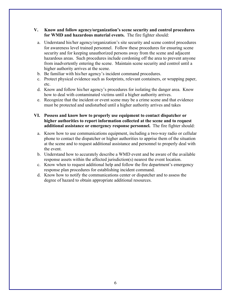#### **V. Know and follow agency/organization's scene security and control procedures for WMD and hazardous material events.** The fire fighter should:

- a. Understand his/her agency/organization's site security and scene control procedures for awareness level trained personnel. Follow these procedures for ensuring scene security and for keeping unauthorized persons away from the scene and adjacent hazardous areas. Such procedures include cordoning off the area to prevent anyone from inadvertently entering the scene. Maintain scene security and control until a higher authority arrives at the scene.
- b. Be familiar with his/her agency's incident command procedures.
- c. Protect physical evidence such as footprints, relevant containers, or wrapping paper, etc.
- d. Know and follow his/her agency's procedures for isolating the danger area. Know how to deal with contaminated victims until a higher authority arrives.
- e. Recognize that the incident or event scene may be a crime scene and that evidence must be protected and undisturbed until a higher authority arrives and takes
- **VI. Possess and know how to properly use equipment to contact dispatcher or higher authorities to report information collected at the scene and to request additional assistance or emergency response personnel.** The fire fighter should:
	- a. Know how to use communications equipment, including a two-way radio or cellular phone to contact the dispatcher or higher authorities to apprise them of the situation at the scene and to request additional assistance and personnel to properly deal with the event.
	- b. Understand how to accurately describe a WMD event and be aware of the available response assets within the affected jurisdiction(s) nearest the event location.
	- c. Know when to request additional help and follow the fire department's emergency response plan procedures for establishing incident command.
	- d. Know how to notify the communications center or dispatcher and to assess the degree of hazard to obtain appropriate additional resources.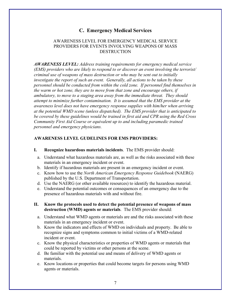# **C. Emergency Medical Services**

#### AWARENESS LEVEL FOR EMERGENCY MEDICAL SERVICE PROVIDERS FOR EVENTS INVOLVING WEAPONS OF MASS **DESTRUCTION**

*AWARENESS LEVEL: Address training requirements for emergency medical service (EMS) providers who are likely to respond to or discover an event involving the terrorist/ criminal use of weapons of mass destruction or who may be sent out to initially investigate the report of such an event. Generally, all actions to be taken by these personnel should be conducted from within the cold zone. If personnel find themselves in the warm or hot zone, they are to move from that zone and encourage others, if ambulatory, to move to a staging area away from the immediate threat. They should attempt to minimize further contamination. It is assumed that the EMS provider at the awareness level does not have emergency response supplies with him/her when arriving at the potential WMD scene (unless dispatched). The EMS provider that is anticipated to be covered by these guidelines would be trained in first aid and CPR using the Red Cross Community First Aid Course or equivalent up to and including paramedic trained personnel and emergency physicians.* 

#### **AWARENESS LEVEL GUDELINES FOR EMS PROVIDERS:**

- **I. Recognize hazardous materials incidents**. The EMS provider should:
	- a. Understand what hazardous materials are, as well as the risks associated with these materials in an emergency incident or event.
	- b. Identify if hazardous materials are present in an emergency incident or event.
	- c. Know how to use the *North American Emergency Response Guidebook* (NAERG) published by the U.S. Department of Transportation.
	- d. Use the NAERG (or other available resources) to identify the hazardous material.
	- e. Understand the potential outcomes or consequences of an emergency due to the presence of hazardous materials with and without fire.
- **II. Know the protocols used to detect the potential presence of weapons of mass destruction (WMD) agents or materials**. The EMS provider should:
	- a. Understand what WMD agents or materials are and the risks associated with these materials in an emergency incident or event.
	- b. Know the indicators and effects of WMD on individuals and property. Be able to recognize signs and symptoms common to initial victims of a WMD-related incident or event.
	- c. Know the physical characteristics or properties of WMD agents or materials that could be reported by victims or other persons at the scene.
	- d. Be familiar with the potential use and means of delivery of WMD agents or materials.
	- e. Know locations or properties that could become targets for persons using WMD agents or materials.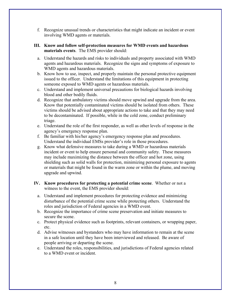- f. Recognize unusual trends or characteristics that might indicate an incident or event involving WMD agents or materials.
- **III. Know and follow self-protection measures for WMD events and hazardous materials events**. The EMS provider should:
	- a. Understand the hazards and risks to individuals and property associated with WMD agents and hazardous materials. Recognize the signs and symptoms of exposure to WMD agents and hazardous materials.
	- b. Know how to use, inspect, and properly maintain the personal protective equipment issued to the officer. Understand the limitations of this equipment in protecting someone exposed to WMD agents or hazardous materials.
	- c. Understand and implement universal precautions for biological hazards involving blood and other bodily fluids.
	- d. Recognize that ambulatory victims should move upwind and upgrade from the area. Know that potentially contaminated victims should be isolated from others. These victims should be advised about appropriate actions to take and that they may need to be decontaminated. If possible, while in the cold zone, conduct preliminary triage.
	- e. Understand the role of the first responder, as well as other levels of response in the agency's emergency response plan.
	- f. Be familiar with his/her agency's emergency response plan and procedures. Understand the individual EMSs provider's role in those procedures.
	- g. Know what defensive measures to take during a WMD or hazardous materials incident or event to help ensure personal and community safety. These measures may include maximizing the distance between the officer and hot zone, using shielding such as solid walls for protection, minimizing personal exposure to agents or materials that might be found in the warm zone or within the plume, and moving upgrade and upwind.
- **IV. Know procedures for protecting a potential crime scene**. Whether or not a witness to the event, the EMS provider should:
	- a. Understand and implement procedures for protecting evidence and minimizing disturbance of the potential crime scene while protecting others. Understand the roles and jurisdiction of Federal agencies in a WMD event.
	- b. Recognize the importance of crime scene preservation and initiate measures to secure the scene.
	- c. Protect physical evidence such as footprints, relevant containers, or wrapping paper, etc.
	- d. Advise witnesses and bystanders who may have information to remain at the scene in a safe location until they have been interviewed and released. Be aware of people arriving or departing the scene.
	- e. Understand the roles, responsibilities, and jurisdictions of Federal agencies related to a WMD event or incident.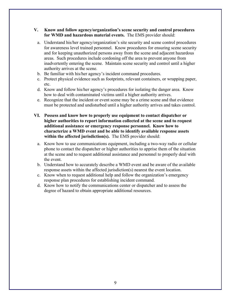#### **V. Know and follow agency/organization's scene security and control procedures for WMD and hazardous material events.** The EMS provider should:

- a. Understand his/her agency/organization's site security and scene control procedures for awareness level trained personnel. Know procedures for ensuring scene security and for keeping unauthorized persons away from the scene and adjacent hazardous areas. Such procedures include cordoning off the area to prevent anyone from inadvertently entering the scene. Maintain scene security and control until a higher authority arrives at the scene.
- b. Be familiar with his/her agency's incident command procedures.
- c. Protect physical evidence such as footprints, relevant containers, or wrapping paper, etc.
- d. Know and follow his/her agency's procedures for isolating the danger area. Know how to deal with contaminated victims until a higher authority arrives.
- e. Recognize that the incident or event scene may be a crime scene and that evidence must be protected and undisturbed until a higher authority arrives and takes control.
- **VI. Possess and know how to properly use equipment to contact dispatcher or higher authorities to report information collected at the scene and to request additional assistance or emergency response personnel. Know how to characterize a WMD event and be able to identify available response assets within the affected jurisdiction(s).** The EMS provider should:
	- a. Know how to use communications equipment, including a two-way radio or cellular phone to contact the dispatcher or higher authorities to apprise them of the situation at the scene and to request additional assistance and personnel to properly deal with the event.
	- b. Understand how to accurately describe a WMD event and be aware of the available response assets within the affected jurisdiction(s) nearest the event location.
	- c. Know when to request additional help and follow the organization's emergency response plan procedures for establishing incident command.
	- d. Know how to notify the communications center or dispatcher and to assess the degree of hazard to obtain appropriate additional resources.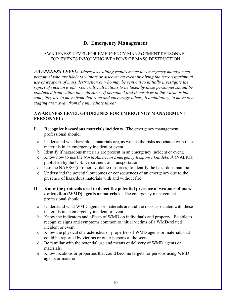# **D. Emergency Management**

#### AWARENESS LEVEL FOR EMERGENCY MANAGEMENT PERSONNEL FOR EVENTS INVOLVING WEAPONS OF MASS DESTRUCTION

*AWARENESS LEVEL: Addresses training requirements for emergency management personnel who are likely to witness or discover an event involving the terrorist/criminal use of weapons of mass destruction or who may be sent out to initially investigate the report of such an event. Generally, all actions to be taken by these personnel should be conducted from within the cold zone. If personnel find themselves in the warm or hot zone, they are to move from that zone and encourage others, if ambulatory, to move to a staging area away from the immediate threat.* 

#### **AWARENESS LEVEL GUIDELINES FOR EMERGENCY MANAGEMENT PERSONNEL:**

- **I. Recognize hazardous materials incidents**. The emergency management professional should:
	- a. Understand what hazardous materials are, as well as the risks associated with these materials in an emergency incident or event.
	- b. Identify if hazardous materials are present in an emergency incident or event.
	- c. Know how to use the *North American Emergency Response Guidebook* (NAERG) published by the U.S. Department of Transportation.
	- d. Use the NAERG (or other available resources) to identify the hazardous material.
	- e. Understand the potential outcomes or consequences of an emergency due to the presence of hazardous materials with and without fire.
- **II. Know the protocols used to detect the potential presence of weapons of mass destruction (WMD) agents or materials**. The emergency management professional should:
	- a. Understand what WMD agents or materials are and the risks associated with these materials in an emergency incident or event.
	- b. Know the indicators and effects of WMD on individuals and property. Be able to recognize signs and symptoms common to initial victims of a WMD-related incident or event.
	- c. Know the physical characteristics or properties of WMD agents or materials that could be reported by victims or other persons at the scene.
	- d. Be familiar with the potential use and means of delivery of WMD agents or materials.
	- e. Know locations or properties that could become targets for persons using WMD agents or materials.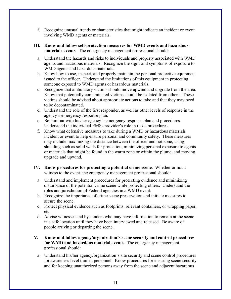- f. Recognize unusual trends or characteristics that might indicate an incident or event involving WMD agents or materials.
- **III. Know and follow self-protection measures for WMD events and hazardous materials events**. The emergency management professional should:
	- a. Understand the hazards and risks to individuals and property associated with WMD agents and hazardous materials. Recognize the signs and symptoms of exposure to WMD agents and hazardous materials.
	- b. Know how to use, inspect, and properly maintain the personal protective equipment issued to the officer. Understand the limitations of this equipment in protecting someone exposed to WMD agents or hazardous materials.
	- c. Recognize that ambulatory victims should move upwind and upgrade from the area. Know that potentially contaminated victims should be isolated from others. These victims should be advised about appropriate actions to take and that they may need to be decontaminated.
	- d. Understand the role of the first responder, as well as other levels of response in the agency's emergency response plan.
	- e. Be familiar with his/her agency's emergency response plan and procedures. Understand the individual EMSs provider's role in those procedures.
	- f. Know what defensive measures to take during a WMD or hazardous materials incident or event to help ensure personal and community safety. These measures may include maximizing the distance between the officer and hot zone, using shielding such as solid walls for protection, minimizing personal exposure to agents or materials that might be found in the warm zone or within the plume, and moving upgrade and upwind.
- **IV. Know procedures for protecting a potential crime scene**. Whether or not a witness to the event, the emergency management professional should:
	- a. Understand and implement procedures for protecting evidence and minimizing disturbance of the potential crime scene while protecting others. Understand the roles and jurisdiction of Federal agencies in a WMD event.
	- b. Recognize the importance of crime scene preservation and initiate measures to secure the scene.
	- c. Protect physical evidence such as footprints, relevant containers, or wrapping paper, etc.
	- d. Advise witnesses and bystanders who may have information to remain at the scene in a safe location until they have been interviewed and released. Be aware of people arriving or departing the scene.
- **V. Know and follow agency/organization's scene security and control procedures for WMD and hazardous material events.** The emergency management professional should:
	- a. Understand his/her agency/organization's site security and scene control procedures for awareness level trained personnel. Know procedures for ensuring scene security and for keeping unauthorized persons away from the scene and adjacent hazardous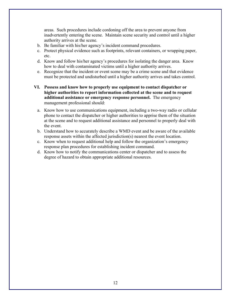areas. Such procedures include cordoning off the area to prevent anyone from inadvertently entering the scene. Maintain scene security and control until a higher authority arrives at the scene.

- b. Be familiar with his/her agency's incident command procedures.
- c. Protect physical evidence such as footprints, relevant containers, or wrapping paper, etc.
- d. Know and follow his/her agency's procedures for isolating the danger area. Know how to deal with contaminated victims until a higher authority arrives.
- e. Recognize that the incident or event scene may be a crime scene and that evidence must be protected and undisturbed until a higher authority arrives and takes control.
- **VI. Possess and know how to properly use equipment to contact dispatcher or higher authorities to report information collected at the scene and to request additional assistance or emergency response personnel.** The emergency management professional should:
	- a. Know how to use communications equipment, including a two-way radio or cellular phone to contact the dispatcher or higher authorities to apprise them of the situation at the scene and to request additional assistance and personnel to properly deal with the event.
	- b. Understand how to accurately describe a WMD event and be aware of the available response assets within the affected jurisdiction(s) nearest the event location.
	- c. Know when to request additional help and follow the organization's emergency response plan procedures for establishing incident command.
	- d. Know how to notify the communications center or dispatcher and to assess the degree of hazard to obtain appropriate additional resources.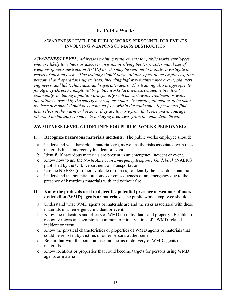#### **E. Public Works**

#### AWARENESS LEVEL FOR PUBLIC WORKS PERSONNEL FOR EVENTS INVOLVING WEAPONS OF MASS DESTRUCTION

*AWARENESS LEVEL: Addresses training requirements for public works employees who are likely to witness or discover an event involving the terrorist/criminal use of weapons of mass destruction (WMD) or who may be sent out to initially investigate the report of such an event. This training should target all non-operational employees; line personnel and operations supervisors, including highway maintenance crews; planners, engineers, and lab technicians; and superintendents. This training also is appropriate for Agency Directors employed by public works facilities associated with a local community, including a public works facility such as wastewater treatment or water operations covered by the emergency response plan. Generally, all actions to be taken by these personnel should be conducted from within the cold zone. If personnel find themselves in the warm or hot zone, they are to move from that zone and encourage others, if ambulatory, to move to a staging area away from the immediate threat.* 

#### **AWARENESS LEVEL GUIDELINES FOR PUBLIC WORKS PERSONNEL:**

- **I. Recognize hazardous materials incidents**. The public works employee should:
	- a. Understand what hazardous materials are, as well as the risks associated with these materials in an emergency incident or event.
	- b. Identify if hazardous materials are present in an emergency incident or event.
	- c. Know how to use the *North American Emergency Response Guidebook* (NAERG) published by the U.S. Department of Transportation.
	- d. Use the NAERG (or other available resources) to identify the hazardous material.
	- e. Understand the potential outcomes or consequences of an emergency due to the presence of hazardous materials with and without fire.
- **II. Know the protocols used to detect the potential presence of weapons of mass destruction (WMD) agents or materials**. The public works employee should:
	- a. Understand what WMD agents or materials are and the risks associated with these materials in an emergency incident or event.
	- b. Know the indicators and effects of WMD on individuals and property. Be able to recognize signs and symptoms common to initial victims of a WMD-related incident or event.
	- c. Know the physical characteristics or properties of WMD agents or materials that could be reported by victims or other persons at the scene.
	- d. Be familiar with the potential use and means of delivery of WMD agents or materials.
	- e. Know locations or properties that could become targets for persons using WMD agents or materials.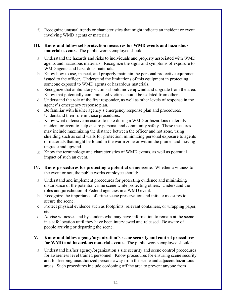- f. Recognize unusual trends or characteristics that might indicate an incident or event involving WMD agents or materials.
- **III. Know and follow self-protection measures for WMD events and hazardous materials events.** The public works employee should:
	- a. Understand the hazards and risks to individuals and property associated with WMD agents and hazardous materials. Recognize the signs and symptoms of exposure to WMD agents and hazardous materials.
	- b. Know how to use, inspect, and properly maintain the personal protective equipment issued to the officer. Understand the limitations of this equipment in protecting someone exposed to WMD agents or hazardous materials.
	- c. Recognize that ambulatory victims should move upwind and upgrade from the area. Know that potentially contaminated victims should be isolated from others.
	- d. Understand the role of the first responder, as well as other levels of response in the agency's emergency response plan.
	- e. Be familiar with his/her agency's emergency response plan and procedures. Understand their role in those procedures.
	- f. Know what defensive measures to take during a WMD or hazardous materials incident or event to help ensure personal and community safety. These measures may include maximizing the distance between the officer and hot zone, using shielding such as solid walls for protection, minimizing personal exposure to agents or materials that might be found in the warm zone or within the plume, and moving upgrade and upwind.
	- g. Know the terminology and characteristics of WMD events, as well as potential impact of such an event.
- **IV. Know procedures for protecting a potential crime scene**. Whether a witness to the event or not, the public works employee should:
	- a. Understand and implement procedures for protecting evidence and minimizing disturbance of the potential crime scene while protecting others. Understand the roles and jurisdiction of Federal agencies in a WMD event.
	- b. Recognize the importance of crime scene preservation and initiate measures to secure the scene.
	- c. Protect physical evidence such as footprints, relevant containers, or wrapping paper, etc.
	- d. Advise witnesses and bystanders who may have information to remain at the scene in a safe location until they have been interviewed and released. Be aware of people arriving or departing the scene.

#### **V. Know and follow agency/organization's scene security and control procedures for WMD and hazardous material events.** The public works employee should:

a. Understand his/her agency/organization's site security and scene control procedures for awareness level trained personnel. Know procedures for ensuring scene security and for keeping unauthorized persons away from the scene and adjacent hazardous areas. Such procedures include cordoning off the area to prevent anyone from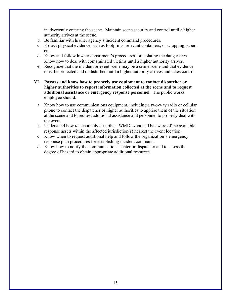inadvertently entering the scene. Maintain scene security and control until a higher authority arrives at the scene.

- b. Be familiar with his/her agency's incident command procedures.
- c. Protect physical evidence such as footprints, relevant containers, or wrapping paper, etc.
- d. Know and follow his/her department's procedures for isolating the danger area. Know how to deal with contaminated victims until a higher authority arrives.
- e. Recognize that the incident or event scene may be a crime scene and that evidence must be protected and undisturbed until a higher authority arrives and takes control.
- **VI. Possess and know how to properly use equipment to contact dispatcher or higher authorities to report information collected at the scene and to request additional assistance or emergency response personnel.** The public works employee should:
	- a. Know how to use communications equipment, including a two-way radio or cellular phone to contact the dispatcher or higher authorities to apprise them of the situation at the scene and to request additional assistance and personnel to properly deal with the event.
	- b. Understand how to accurately describe a WMD event and be aware of the available response assets within the affected jurisdiction(s) nearest the event location.
	- c. Know when to request additional help and follow the organization's emergency response plan procedures for establishing incident command.
	- d. Know how to notify the communications center or dispatcher and to assess the degree of hazard to obtain appropriate additional resources.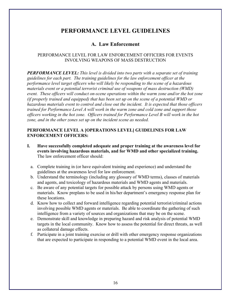# **PERFORMANCE LEVEL GUIDELINES**

## **A. Law Enforcement**

#### PERFORMANCE LEVEL FOR LAW ENFORCEMENT OFFICERS FOR EVENTS INVOLVING WEAPONS OF MASS DESTRUCTION

*PERFORMANCE LEVEL: This level is divided into two parts with a separate set of training guidelines for each part. The training guidelines for the law enforcement officer at the performance level target officers who will likely be responding to the scene of a hazardous materials event or a potential terrorist criminal use of weapons of mass destruction (WMD) event. These officers will conduct on-scene operations within the warm zone and/or the hot zone (if properly trained and equipped) that has been set up on the scene of a potential WMD or hazardous materials event to control and close out the incident. It is expected that those officers trained for Performance Level A will work in the warm zone and cold zone and support those officers working in the hot zone. Officers trained for Performance Level B will work in the hot zone, and in the other zones set up on the incident scene as needed.* 

#### **PERFORMANCE LEVEL A [OPERATIONS LEVEL] GUIDELINES FOR LAW ENFORCEMENT OFFICERS:**

- **I. Have successfully completed adequate and proper training at the awareness level for events involving hazardous materials, and for WMD and other specialized training.**  The law enforcement officer should:
	- a. Complete training in (or have equivalent training and experience) and understand the guidelines at the awareness level for law enforcement.
	- b. Understand the terminology (including any glossary of WMD terms), classes of materials and agents, and toxicology of hazardous materials and WMD agents and materials.
	- c. Be aware of any potential targets for possible attack by persons using WMD agents or materials. Know preplans to be used in his/her department's emergency response plan for these locations.
	- d. Know how to collect and forward intelligence regarding potential terrorist/criminal actions involving possible WMD agents or materials. Be able to coordinate the gathering of such intelligence from a variety of sources and organizations that may be on the scene.
	- e. Demonstrate skill and knowledge in preparing hazard and risk analysis of potential WMD targets in the local community. Know how to assess the potential for direct threats, as well as collateral damage effects.
	- f. Participate in a joint training exercise or drill with other emergency response organizations that are expected to participate in responding to a potential WMD event in the local area.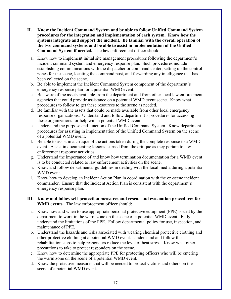- **II. Know the Incident Command System and be able to follow Unified Command System procedures for the integration and implementation of each system. Know how the systems integrate and support the incident. Be familiar with the overall operation of the two command systems and be able to assist in implementation of the Unified Command System if needed.** The law enforcement officer should:
	- a. Know how to implement initial site management procedures following the department's incident command system and emergency response plan. Such procedures include establishing communications with the dispatcher or command center, setting up the control zones for the scene, locating the command post, and forwarding any intelligence that has been collected on the scene.
	- b. Be able to implement the Incident Command System component of the department's emergency response plan for a potential WMD event.
	- c. Be aware of the assets available from the department and from other local law enforcement agencies that could provide assistance on a potential WMD event scene. Know what procedures to follow to get these resources to the scene as needed.
	- d. Be familiar with the assets that could be made available from other local emergency response organizations. Understand and follow department's procedures for accessing these organizations for help with a potential WMD event.
	- e. Understand the purpose and function of the Unified Command System. Know department procedures for assisting in implementation of the Unified Command System on the scene of a potential WMD event.
	- f. Be able to assist in a critique of the actions taken during the complete response to a WMD event. Assist in documenting lessons learned from the critique as they pertain to law enforcement response activities.
	- g. Understand the importance of and know how termination documentation for a WMD event is to be conducted related to law enforcement activities on the scene.
	- h. Know and follow departmental guidelines in dealing with the local media during a potential WMD event.
	- i. Know how to develop an Incident Action Plan in coordination with the on-scene incident commander. Ensure that the Incident Action Plan is consistent with the department's emergency response plan.
- **III. Know and follow self-protection measures and rescue and evacuation procedures for WMD events.** The law enforcement officer should:
	- a. Know how and when to use appropriate personal protective equipment (PPE) issued by the department to work in the warm zone on the scene of a potential WMD event. Fully understand the limitations of the PPE. Follow departmental policy for use, inspection, and maintenance of PPE.
	- b. Understand the hazards and risks associated with wearing chemical protective clothing and other protective clothing at a potential WMD event. Understand and follow the rehabilitation steps to help responders reduce the level of heat stress. Know what other precautions to take to protect responders on the scene.
	- c. Know how to determine the appropriate PPE for protecting officers who will be entering the warm zone on the scene of a potential WMD event.
	- d. Know the protective measures that will be needed to protect victims and others on the scene of a potential WMD event.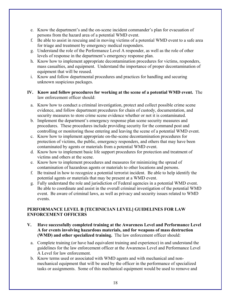- e. Know the department's and the on-scene incident commander's plan for evacuation of persons from the hazard area of a potential WMD event.
- f. Be able to assist in rescuing and in moving victims of a potential WMD event to a safe area for triage and treatment by emergency medical responders.
- g. Understand the role of the Performance Level A responder, as well as the role of other levels of response in the department's emergency response plan.
- h. Know how to implement appropriate decontamination procedures for victims, responders, mass casualties, and equipment. Understand the importance of proper decontamination of equipment that will be reused.
- i. Know and follow departmental procedures and practices for handling and securing unknown suspicious packages.
- **IV. Know and follow procedures for working at the scene of a potential WMD event.** The law enforcement officer should:
	- a. Know how to conduct a criminal investigation, protect and collect possible crime scene evidence, and follow department procedures for chain of custody, documentation, and security measures to store crime scene evidence whether or not it is contaminated.
	- b. Implement the department's emergency response plan scene security measures and procedures. These procedures include providing security for the command post and controlling or monitoring those entering and leaving the scene of a potential WMD event.
	- c. Know how to implement appropriate on-the-scene decontamination procedures for protection of victims, the public, emergency responders, and others that may have been contaminated by agents or materials from a potential WMD event.
	- d. Know how to implement basic life support procedures for protection and treatment of victims and others at the scene.
	- e. Know how to implement procedures and measures for minimizing the spread of contamination of hazardous agents or materials to other locations and persons.
	- f. Be trained in how to recognize a potential terrorist incident. Be able to help identify the potential agents or materials that may be present at a WMD event.
	- g. Fully understand the role and jurisdiction of Federal agencies in a potential WMD event. Be able to coordinate and assist in the overall criminal investigation of the potential WMD event. Be aware of criminal laws, as well as privacy and security issues related to WMD events.

#### **PERFORMANCE LEVEL B [TECHNICIAN LEVEL] GUIDELINES FOR LAW ENFORCEMENT OFFICERS**

- **V. Have successfully completed training at the Awareness Level and Performance Level A for events involving hazardous materials, and for weapons of mass destruction (WMD) and other specialized training.** The law enforcement officer should:
	- a. Complete training (or have had equivalent training and experience) in and understand the guidelines for the law enforcement officer at the Awareness Level and Performance Level A Level for law enforcement.
	- b. Know terms used or associated with WMD agents and with mechanical and nonmechanical equipment that will be used by the officer in the performance of specialized tasks or assignments. Some of this mechanical equipment would be used to remove and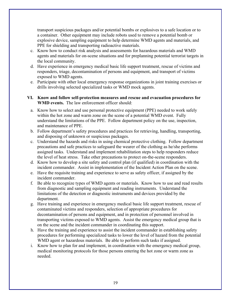transport suspicious packages and/or potential bombs or explosives to a safe location or to a container. Other equipment may include robots used to remove a potential bomb or explosive device, sampling equipment to help determine WMD agents and materials, and PPE for shielding and transporting radioactive materials.

- c. Know how to conduct risk analysis and assessments for hazardous materials and WMD agents and materials for on-scene situations and for preplanning potential terrorist targets in the local community.
- d. Have experience in emergency medical basic life support treatment, rescue of victims and responders, triage, decontamination of persons and equipment, and transport of victims exposed to WMD agents.
- e. Participate with other local emergency response organizations in joint training exercises or drills involving selected specialized tasks or WMD mock agents.

#### **VI. Know and follow self-protection measures and rescue and evacuation procedures for WMD events.** The law enforcement officer should:

- a. Know how to select and use personal protective equipment (PPE) needed to work safely within the hot zone and warm zone on the scene of a potential WMD event. Fully understand the limitations of the PPE. Follow department policy on the use, inspection, and maintenance of PPE.
- b. Follow department's safety procedures and practices for retrieving, handling, transporting, and disposing of unknown or suspicious packages.
- c. Understand the hazards and risks in using chemical protective clothing. Follow department precautions and safe practices to safeguard the wearer of the clothing as he/she performs assigned tasks. Understand and implement rehabilitation steps to help responders reduce the level of heat stress. Take other precautions to protect on-the-scene responders.
- d. Know how to develop a site safety and control plan (if qualified) in coordination with the incident commander. Assist in implementation of the Incident Action Plan on the scene.
- e. Have the requisite training and experience to serve as safety officer, if assigned by the incident commander.
- f. Be able to recognize types of WMD agents or materials. Know how to use and read results from diagnostic and sampling equipment and reading instruments. Understand the limitations of the detection or diagnostic instruments and devices provided by the department.
- g. Have training and experience in emergency medical basic life support treatment, rescue of contaminated victims and responders, selection of appropriate procedures for decontamination of persons and equipment, and in protection of personnel involved in transporting victims exposed to WMD agents. Assist the emergency medical group that is on the scene and the incident commander in coordinating this support.
- h. Have the training and experience to assist the incident commander in establishing safety procedures for performing specialized tasks to lower the level of hazard from the potential WMD agent or hazardous materials. Be able to perform such tasks if assigned.
- i. Know how to plan for and implement, in coordination with the emergency medical group, medical monitoring protocols for those persons entering the hot zone or warm zone as needed.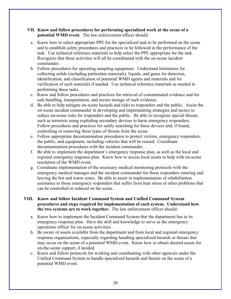#### **VII. Know and follow procedures for performing specialized work at the scene of a potential WMD event.** The law enforcement officer should:

- a. Know how to select appropriate PPE for the specialized task to be performed on the scene and to establish safety procedures and practices to be followed in the performance of the task. Use technical reference materials to help select the PPE appropriate for the task. Recognize that these activities will all be coordinated with the on-scene incident commander.
- b. Follow procedures for operating sampling equipment. Understand limitations for collecting solids (including particulate materials), liquids, and gases for detection, identification, and classification of potential WMD agents and materials and for verification of such materials if needed. Use technical reference materials as needed in performing these tasks.
- c. Know and follow procedures and practices for retrieval of contaminated evidence and for safe handling, transportation, and secure storage of such evidence.
- d. Be able to help mitigate on-scene hazards and risks to responders and the public. Assist the on-scene incident commander in developing and implementing strategies and tactics to reduce on-scene risks for responders and the public. Be able to recognize special threats, such as terrorists using exploding secondary devices to harm emergency responders. Follow procedures and practices for safely searching for these devices and, if found, controlling or removing these types of threats from the scene.
- e. Follow appropriate decontamination procedures to protect victims, emergency responders, the public, and equipment, including vehicles that will be reused. Coordinate decontamination procedures with the incident commander.
- f. Be able to implement the department's emergency response plan, as well as the local and regional emergency response plan. Know how to access local assets to help with on-scene resolution of the WMD event.
- g. Coordinate implementation of the necessary medical monitoring protocols with the emergency medical manager and the incident commander for those responders entering and leaving the hot and warm zones. Be able to assist in implementation of rehabilitation assistance to those emergency responders that suffer from heat stress or other problems that can be controlled or reduced on the scene.

#### **VIII. Know and follow Incident Command System and Unified Command System procedures and steps required for implementation of each system. Understand how the two systems are to work together.** The law enforcement officer should:

- a. Know how to implement the Incident Command System that the department has in its emergency response plan. Have the skill and knowledge to serve as the emergency operations officer for on-scene activities.
- b. Be aware of assets available from the department and from local and regional emergency response organizations, especially regarding handling specialized hazards or threats that may occur on the scene of a potential WMD event. Know how to obtain desired assets for on-the-scene support, if needed.
- c. Know and follow protocols for working and coordinating with other agencies under the Unified Command System to handle specialized hazards and threats on the scene of a potential WMD event.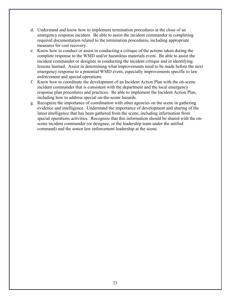- d. Understand and know how to implement termination procedures at the close of an emergency response incident. Be able to assist the incident commander in completing required documentation related to the termination procedures, including appropriate measures for cost recovery.
- e. Know how to conduct or assist in conducting a critique of the actions taken during the complete response to the WMD and/or hazardous materials event. Be able to assist the incident commander or designee in conducting the incident critique and in identifying lessons learned. Assist in determining what improvements need to be made before the next emergency response to a potential WMD event, especially improvements specific to law enforcement and special operations.
- f. Know how to coordinate the development of an Incident Action Plan with the on-scene incident commander that is consistent with the department and the local emergency response plan procedures and practices. Be able to implement the Incident Action Plan, including how to address special on-the-scene hazards.
- g. Recognize the importance of coordination with other agencies on the scene in gathering evidence and intelligence. Understand the importance of development and sharing of the latest intelligence that has been gathered from the scene, including information from special operations activities. Recognize that this information should be shared with the onscene incident commander (or designee, or the leadership team under the unified command) and the senior law enforcement leadership at the scene.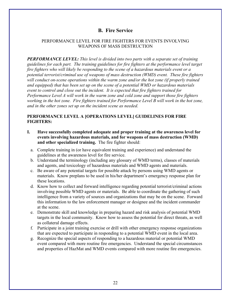## **B. Fire Service**

#### PERFORMANCE LEVEL FOR FIRE FIGHTERS FOR EVENTS INVOLVING WEAPONS OF MASS DESTRUCTION

*PERFORMANCE LEVEL: This level is divided into two parts with a separate set of training guidelines for each part. The training guidelines for fire fighters at the performance level target fire fighters who will likely be responding to the scene of a hazardous materials event or a potential terrorist/criminal use of weapons of mass destruction (WMD) event. These fire fighters will conduct on-scene operations within the warm zone and/or the hot zone (if properly trained and equipped) that has been set up on the scene of a potential WMD or hazardous materials event to control and close out the incident. It is expected that fire fighters trained for Performance Level A will work in the warm zone and cold zone and support those fire fighters working in the hot zone. Fire fighters trained for Performance Level B will work in the hot zone, and in the other zones set up on the incident scene as needed.* 

#### **PERFORMANCE LEVEL A [OPERATIONS LEVEL] GUIDELINES FOR FIRE FIGHTERS:**

- **I. Have successfully completed adequate and proper training at the awareness level for events involving hazardous materials, and for weapons of mass destruction (WMD) and other specialized training.** The fire fighter should:
	- a. Complete training in (or have equivalent training and experience) and understand the guidelines at the awareness level for fire service.
	- b. Understand the terminology (including any glossary of WMD terms), classes of materials and agents, and toxicology of hazardous materials and WMD agents and materials.
	- c. Be aware of any potential targets for possible attack by persons using WMD agents or materials. Know preplans to be used in his/her department's emergency response plan for these locations.
	- d. Know how to collect and forward intelligence regarding potential terrorist/criminal actions involving possible WMD agents or materials. Be able to coordinate the gathering of such intelligence from a variety of sources and organizations that may be on the scene. Forward this information to the law enforcement manager or designee and the incident commander at the scene.
	- e. Demonstrate skill and knowledge in preparing hazard and risk analysis of potential WMD targets in the local community. Know how to assess the potential for direct threats, as well as collateral damage effects.
	- f. Participate in a joint training exercise or drill with other emergency response organizations that are expected to participate in responding to a potential WMD event in the local area.
	- g. Recognize the special aspects of responding to a hazardous material or potential WMD event compared with more routine fire emergencies. Understand the special circumstances and properties of HazMat and WMD events compared with more routine fire emergencies.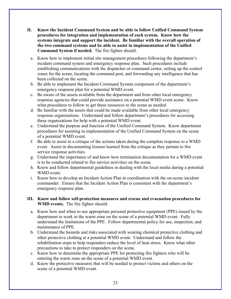- **II. Know the Incident Command System and be able to follow Unified Command System procedures for integration and implementation of each system. Know how the systems integrate and support the incident. Be familiar with the overall operation of the two command systems and be able to assist in implementation of the Unified Command System if needed.** The fire fighter should:
	- a. Know how to implement initial site management procedures following the department's incident command system and emergency response plan. Such procedures include establishing communications with the dispatcher or command center, setting up the control zones for the scene, locating the command post, and forwarding any intelligence that has been collected on the scene.
	- b. Be able to implement the Incident Command System component of the department's emergency response plan for a potential WMD event.
	- c. Be aware of the assets available from the department and from other local emergency response agencies that could provide assistance on a potential WMD event scene. Know what procedures to follow to get these resources to the scene as needed.
	- d. Be familiar with the assets that could be made available from other local emergency response organizations. Understand and follow department's procedures for accessing these organizations for help with a potential WMD event.
	- e. Understand the purpose and function of the Unified Command System. Know department procedures for assisting in implementation of the Unified Command System on the scene of a potential WMD event.
	- f. Be able to assist in a critique of the actions taken during the complete response to a WMD event. Assist in documenting lessons learned from the critique as they pertain to fire service response activities.
	- g. Understand the importance of and know how termination documentation for a WMD event is to be conducted related to fire service activities on the scene.
	- h. Know and follow departmental guidelines in dealing with the local media during a potential WMD event.
	- i. Know how to develop an Incident Action Plan in coordination with the on-scene incident commander. Ensure that the Incident Action Plan is consistent with the department's emergency response plan.

#### **III. Know and follow self-protection measures and rescue and evacuation procedures for WMD events.** The fire fighter should:

- a. Know how and when to use appropriate personal protective equipment (PPE) issued by the department to work in the warm zone on the scene of a potential WMD event. Fully understand the limitations of the PPE. Follow departmental policy for use, inspection, and maintenance of PPE.
- b. Understand the hazards and risks associated with wearing chemical protective clothing and other protective clothing at a potential WMD event. Understand and follow the rehabilitation steps to help responders reduce the level of heat stress. Know what other precautions to take to protect responders on the scene.
- c. Know how to determine the appropriate PPE for protecting fire fighters who will be entering the warm zone on the scene of a potential WMD event.
- d. Know the protective measures that will be needed to protect victims and others on the scene of a potential WMD event.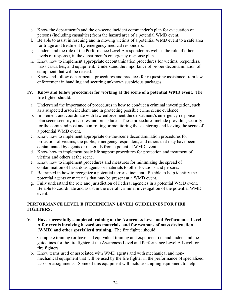- e. Know the department's and the on-scene incident commander's plan for evacuation of persons (including casualties) from the hazard area of a potential WMD event.
- f. Be able to assist in rescuing and in moving victims of a potential WMD event to a safe area for triage and treatment by emergency medical responders.
- g. Understand the role of the Performance Level A responder, as well as the role of other levels of response, in the department's emergency response plan.
- h. Know how to implement appropriate decontamination procedures for victims, responders, mass casualties, and equipment. Understand the importance of proper decontamination of equipment that will be reused.
- i. Know and follow departmental procedures and practices for requesting assistance from law enforcement in handling and securing unknown suspicious packages.
- **IV. Know and follow procedures for working at the scene of a potential WMD event.** The fire fighter should:
	- a. Understand the importance of procedures in how to conduct a criminal investigation, such as a suspected arson incident, and in protecting possible crime scene evidence.
	- b. Implement and coordinate with law enforcement the department's emergency response plan scene security measures and procedures. These procedures include providing security for the command post and controlling or monitoring those entering and leaving the scene of a potential WMD event.
	- c. Know how to implement appropriate on-the-scene decontamination procedures for protection of victims, the public, emergency responders, and others that may have been contaminated by agents or materials from a potential WMD event.
	- d. Know how to implement basic life support procedures for protection and treatment of victims and others at the scene.
	- e. Know how to implement procedures and measures for minimizing the spread of contamination of hazardous agents or materials to other locations and persons.
	- f. Be trained in how to recognize a potential terrorist incident. Be able to help identify the potential agents or materials that may be present at a WMD event.
	- g. Fully understand the role and jurisdiction of Federal agencies in a potential WMD event. Be able to coordinate and assist in the overall criminal investigation of the potential WMD event.

#### **PERFORMANCE LEVEL B [TECHNICIAN LEVEL] GUIDELINES FOR FIRE FIGHTERS:**

- **V. Have successfully completed training at the Awareness Level and Performance Level A for events involving hazardous materials, and for weapons of mass destruction (WMD) and other specialized training.** The fire fighter should:
	- a. Complete training (or have had equivalent training and experience) in and understand the guidelines for the fire fighter at the Awareness Level and Performance Level A Level for fire fighters.
	- b. Know terms used or associated with WMD agents and with mechanical and nonmechanical equipment that will be used by the fire fighter in the performance of specialized tasks or assignments. Some of this equipment will include sampling equipment to help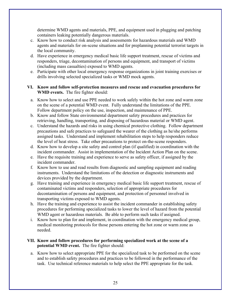determine WMD agents and materials, PPE, and equipment used in plugging and patching containers leaking potentially dangerous materials.

- c. Know how to conduct risk analysis and assessments for hazardous materials and WMD agents and materials for on-scene situations and for preplanning potential terrorist targets in the local community.
- d. Have experience in emergency medical basic life support treatment, rescue of victims and responders, triage, decontamination of persons and equipment, and transport of victims (including mass casualties) exposed to WMD agents.
- e. Participate with other local emergency response organizations in joint training exercises or drills involving selected specialized tasks or WMD mock agents.

#### **VI. Know and follow self-protection measures and rescue and evacuation procedures for WMD events.** The fire fighter should:

- a. Know how to select and use PPE needed to work safely within the hot zone and warm zone on the scene of a potential WMD event. Fully understand the limitations of the PPE. Follow department policy on the use, inspection, and maintenance of PPE.
- b. Know and follow State environmental department safety procedures and practices for retrieving, handling, transporting, and disposing of hazardous material or WMD agent.
- c. Understand the hazards and risks in using chemical protective clothing. Follow department precautions and safe practices to safeguard the wearer of the clothing as he/she performs assigned tasks. Understand and implement rehabilitation steps to help responders reduce the level of heat stress. Take other precautions to protect on-the-scene responders.
- d. Know how to develop a site safety and control plan (if qualified) in coordination with the incident commander. Assist in implementation of the Incident Action Plan on the scene.
- e. Have the requisite training and experience to serve as safety officer, if assigned by the incident commander.
- f. Know how to use and read results from diagnostic and sampling equipment and reading instruments. Understand the limitations of the detection or diagnostic instruments and devices provided by the department.
- g. Have training and experience in emergency medical basic life support treatment, rescue of contaminated victims and responders, selection of appropriate procedures for decontamination of persons and equipment, and protection of personnel involved in transporting victims exposed to WMD agents.
- h. Have the training and experience to assist the incident commander in establishing safety procedures for performing specialized tasks to lower the level of hazard from the potential WMD agent or hazardous materials. Be able to perform such tasks if assigned.
- i. Know how to plan for and implement, in coordination with the emergency medical group, medical monitoring protocols for those persons entering the hot zone or warm zone as needed.

#### **VII. Know and follow procedures for performing specialized work at the scene of a potential WMD event.** The fire fighter should:

a. Know how to select appropriate PPE for the specialized task to be performed on the scene and to establish safety procedures and practices to be followed in the performance of the task. Use technical reference materials to help select the PPE appropriate for the task.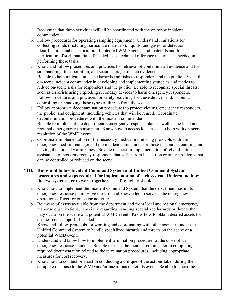Recognize that these activities will all be coordinated with the on-scene incident commander.

- b. Follow procedures for operating sampling equipment. Understand limitations for collecting solids (including particulate materials), liquids, and gases for detection, identification, and classification of potential WMD agents and materials and for verification of such materials if needed. Use technical reference materials as needed in performing these tasks.
- c. Know and follow procedures and practices for retrieval of contaminated evidence and for safe handling, transportation, and secure storage of such evidence.
- d. Be able to help mitigate on-scene hazards and risks to responders and the public. Assist the on-scene incident commander in developing and implementing strategies and tactics to reduce on-scene risks for responders and the public. Be able to recognize special threats, such as terrorists using exploding secondary devices to harm emergency responders. Follow procedures and practices for safely searching for these devices and, if found, controlling or removing these types of threats from the scene.
- e. Follow appropriate decontamination procedures to protect victims, emergency responders, the public, and equipment, including vehicles that will be reused. Coordinate decontamination procedures with the incident commander.
- f. Be able to implement the department's emergency response plan, as well as the local and regional emergency response plan. Know how to access local assets to help with on-scene resolution of the WMD event.
- g. Coordinate implementation of the necessary medical monitoring protocols with the emergency medical manager and the incident commander for those responders entering and leaving the hot and warm zones. Be able to assist in implementation of rehabilitation assistance to those emergency responders that suffer from heat stress or other problems that can be controlled or reduced on the scene.

#### **VIII. Know and follow Incident Command System and Unified Command System procedures and steps required for implementation of each system. Understand how the two systems are to work together.** The fire fighter should:

- a. Know how to implement the Incident Command System that the department has in its emergency response plan. Have the skill and knowledge to serve as the emergency operations officer for on-scene activities.
- b. Be aware of assets available from the department and from local and regional emergency response organizations, especially regarding handling specialized hazards or threats that may occur on the scene of a potential WMD event. Know how to obtain desired assets for on-the-scene support, if needed.
- c. Know and follow protocols for working and coordinating with other agencies under the Unified Command System to handle specialized hazards and threats on the scene of a potential WMD event.
- d. Understand and know how to implement termination procedures at the close of an emergency response incident. Be able to assist the incident commander in completing required documentation related to the termination procedures, including appropriate measures for cost recovery.
- e. Know how to conduct or assist in conducting a critique of the actions taken during the complete response to the WMD and/or hazardous materials event. Be able to assist the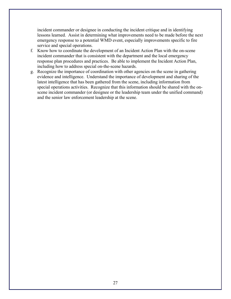incident commander or designee in conducting the incident critique and in identifying lessons learned. Assist in determining what improvements need to be made before the next emergency response to a potential WMD event, especially improvements specific to fire service and special operations.

- f. Know how to coordinate the development of an Incident Action Plan with the on-scene incident commander that is consistent with the department and the local emergency response plan procedures and practices. Be able to implement the Incident Action Plan, including how to address special on-the-scene hazards.
- g. Recognize the importance of coordination with other agencies on the scene in gathering evidence and intelligence. Understand the importance of development and sharing of the latest intelligence that has been gathered from the scene, including information from special operations activities. Recognize that this information should be shared with the onscene incident commander (or designee or the leadership team under the unified command) and the senior law enforcement leadership at the scene.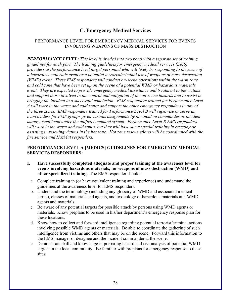# **C. Emergency Medical Services**

#### PERFORMANCE LEVEL FOR EMERGENCY MEDICAL SERVICES FOR EVENTS INVOLVING WEAPONS OF MASS DESTRUCTION

*PERFORMANCE LEVEL: This level is divided into two parts with a separate set of training guidelines for each part. The training guidelines for emergency medical services (EMS) providers at the performance level target personnel who will likely be responding to the scene of a hazardous materials event or a potential terrorist/criminal use of weapons of mass destruction (WMD) event. These EMS responders will conduct on-scene operations within the warm zone and cold zone that have been set up on the scene of a potential WMD or hazardous materials event. They are expected to provide emergency medical assistance and treatment to the victims and support those involved in the control and mitigation of the on-scene hazards and to assist in bringing the incident to a successful conclusion. EMS responders trained for Performance Level A will work in the warm and cold zones and support the other emergency responders in any of the three zones. EMS responders trained for Performance Level B will supervise or serve as team leaders for EMS groups given various assignments by the incident commander or incident management team under the unified command system. Performance Level B EMS responders will work in the warm and cold zones, but they will have some special training in rescuing or assisting in rescuing victims in the hot zone. Hot zone rescue efforts will be coordinated with the fire service and HazMat responders.* 

#### **PERFORMANCE LEVEL A [MEDICS] GUIDELINES FOR EMERGENCY MEDICAL SERVICES RESPONDERS:**

- **I. Have successfully completed adequate and proper training at the awareness level for events involving hazardous materials, for weapons of mass destruction (WMD) and other specialized training.** The EMS responder should:
	- a. Complete training in (or have equivalent training and experience) and understand the guidelines at the awareness level for EMS responders.
	- b. Understand the terminology (including any glossary of WMD and associated medical terms), classes of materials and agents, and toxicology of hazardous materials and WMD agents and materials.
	- c. Be aware of any potential targets for possible attack by persons using WMD agents or materials. Know preplans to be used in his/her department's emergency response plan for these locations.
	- d. Know how to collect and forward intelligence regarding potential terrorist/criminal actions involving possible WMD agents or materials. Be able to coordinate the gathering of such intelligence from victims and others that may be on the scene. Forward this information to the EMS manager or designee and the incident commander at the scene.
	- e. Demonstrate skill and knowledge in preparing hazard and risk analysis of potential WMD targets in the local community. Be familiar with preplans for emergency response to these sites.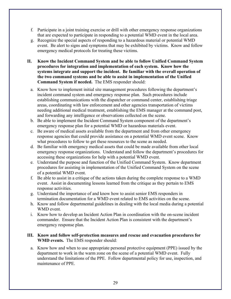- f. Participate in a joint training exercise or drill with other emergency response organizations that are expected to participate in responding to a potential WMD event in the local area.
- g. Recognize the special aspects of responding to a hazardous material or potential WMD event. Be alert to signs and symptoms that may be exhibited by victims. Know and follow emergency medical protocols for treating these victims.
- **II. Know the Incident Command System and be able to follow Unified Command System procedures for integration and implementation of each system. Know how the systems integrate and support the incident. Be familiar with the overall operation of the two command systems and be able to assist in implementation of the Unified Command System if needed.** The EMS responder should:
	- a. Know how to implement initial site management procedures following the department's incident command system and emergency response plan. Such procedures include establishing communications with the dispatcher or command center, establishing triage areas, coordinating with law enforcement and other agencies transportation of victims needing additional medical treatment, establishing the EMS manager at the command post, and forwarding any intelligence or observations collected on the scene.
	- b. Be able to implement the Incident Command System component of the department's emergency response plan for a potential WMD or hazardous materials event.
	- c. Be aware of medical assets available from the department and from other emergency response agencies that could provide assistance on a potential WMD event scene. Know what procedures to follow to get these resources to the scene as needed.
	- d. Be familiar with emergency medical assets that could be made available from other local emergency response organizations. Understand and follow the department's procedures for accessing these organizations for help with a potential WMD event.
	- e. Understand the purpose and function of the Unified Command System. Know department procedures for assisting in implementation of the Unified Command System on the scene of a potential WMD event.
	- f. Be able to assist in a critique of the actions taken during the complete response to a WMD event. Assist in documenting lessons learned from the critique as they pertain to EMS response activities.
	- g. Understand the importance of and know how to assist senior EMS responders in termination documentation for a WMD event related to EMS activities on the scene.
	- h. Know and follow departmental guidelines in dealing with the local media during a potential WMD event.
	- i. Know how to develop an Incident Action Plan in coordination with the on-scene incident commander. Ensure that the Incident Action Plan is consistent with the department's emergency response plan.
- **III. Know and follow self-protection measures and rescue and evacuation procedures for WMD events.** The EMS responder should:
	- a. Know how and when to use appropriate personal protective equipment (PPE) issued by the department to work in the warm zone on the scene of a potential WMD event. Fully understand the limitations of the PPE. Follow departmental policy for use, inspection, and maintenance of PPE.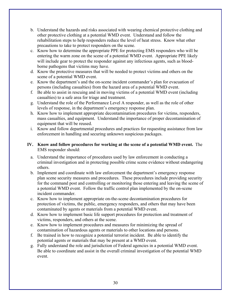- b. Understand the hazards and risks associated with wearing chemical protective clothing and other protective clothing at a potential WMD event. Understand and follow the rehabilitation steps to help responders reduce the level of heat stress. Know what other precautions to take to protect responders on the scene.
- c. Know how to determine the appropriate PPE for protecting EMS responders who will be entering the warm zone on the scene of a potential WMD event. Appropriate PPE likely will include gear to protect the responder against any infectious agents, such as bloodborne pathogens that victims may have.
- d. Know the protective measures that will be needed to protect victims and others on the scene of a potential WMD event.
- e. Know the department's and the on-scene incident commander's plan for evacuation of persons (including casualties) from the hazard area of a potential WMD event.
- f. Be able to assist in rescuing and in moving victims of a potential WMD event (including casualties) to a safe area for triage and treatment.
- g. Understand the role of the Performance Level A responder, as well as the role of other levels of response, in the department's emergency response plan.
- h. Know how to implement appropriate decontamination procedures for victims, responders, mass casualties, and equipment. Understand the importance of proper decontamination of equipment that will be reused.
- i. Know and follow departmental procedures and practices for requesting assistance from law enforcement in handling and securing unknown suspicious packages.
- **IV. Know and follow procedures for working at the scene of a potential WMD event.** The EMS responder should:
	- a. Understand the importance of procedures used by law enforcement in conducting a criminal investigation and in protecting possible crime scene evidence without endangering others.
	- b. Implement and coordinate with law enforcement the department's emergency response plan scene security measures and procedures. These procedures include providing security for the command post and controlling or monitoring those entering and leaving the scene of a potential WMD event. Follow the traffic control plan implemented by the on-scene incident commander.
	- c. Know how to implement appropriate on-the-scene decontamination procedures for protection of victims, the public, emergency responders, and others that may have been contaminated by agents or materials from a potential WMD event.
	- d. Know how to implement basic life support procedures for protection and treatment of victims, responders, and others at the scene.
	- e. Know how to implement procedures and measures for minimizing the spread of contamination of hazardous agents or materials to other locations and persons.
	- f. Be trained in how to recognize a potential terrorist incident. Be able to identify the potential agents or materials that may be present at a WMD event.
	- g. Fully understand the role and jurisdiction of Federal agencies in a potential WMD event. Be able to coordinate and assist in the overall criminal investigation of the potential WMD event.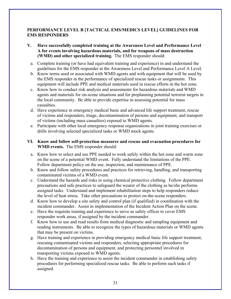#### **PERFORMANCE LEVEL B [TACTICAL EMS/MEDICS LEVEL] GUIDELINES FOR EMS RESPONDERS**

- **V. Have successfully completed training at the Awareness Level and Performance Level A for events involving hazardous materials, and for weapons of mass destruction (WMD) and other specialized training.** The EMS responder should:
	- a. Complete training (or have had equivalent training and experience) in and understand the guidelines for the EMS responder at the Awareness Level and Performance Level A Level.
	- b. Know terms used or associated with WMD agents and with equipment that will be used by the EMS responder in the performance of specialized rescue tasks or assignments. This equipment will include PPE and medical materials used in rescue efforts in the hot zone.
	- c. Know how to conduct risk analysis and assessments for hazardous materials and WMD agents and materials for on-scene situations and for preplanning potential terrorist targets in the local community. Be able to provide expertise in assessing potential for mass casualties.
	- d. Have experience in emergency medical basic and advanced life support treatment, rescue of victims and responders, triage, decontamination of persons and equipment, and transport of victims (including mass casualties) exposed to WMD agents.
	- e. Participate with other local emergency response organizations in joint training exercises or drills involving selected specialized tasks or WMD mock agents.
- **VI. Know and follow self-protection measures and rescue and evacuation procedures for WMD events.** The EMS responder should:
	- a. Know how to select and use PPE needed to work safely within the hot zone and warm zone on the scene of a potential WMD event. Fully understand the limitations of the PPE. Follow department policy on the use, inspection, and maintenance of PPE.
	- b. Know and follow safety procedures and practices for retrieving, handling, and transporting contaminated victims of a WMD event.
	- c. Understand the hazards and risks in using chemical protective clothing. Follow department precautions and safe practices to safeguard the wearer of the clothing as he/she performs assigned tasks. Understand and implement rehabilitation steps to help responders reduce the level of heat stress. Take other precautions to protect on-the-scene responders.
	- d. Know how to develop a site safety and control plan (if qualified) in coordination with the incident commander. Assist in implementation of the Incident Action Plan on the scene.
	- e. Have the requisite training and experience to serve as safety officer to cover EMS responder work areas, if assigned by the incident commander.
	- f. Know how to use and read results from medical diagnostic and sampling equipment and reading instruments. Be able to recognize the types of hazardous materials or WMD agents that may be present on victims.
	- g. Have training and experience in providing emergency medical basic life support treatment, rescuing contaminated victims and responders, selecting appropriate procedures for decontamination of persons and equipment, and protecting personnel involved in transporting victims exposed to WMD agents.
	- h. Have the training and experience to assist the incident commander in establishing safety procedures for performing specialized rescue tasks. Be able to perform such tasks if assigned.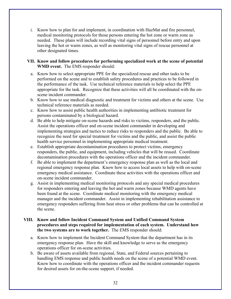i. Know how to plan for and implement, in coordination with HazMat and fire personnel, medical monitoring protocols for those persons entering the hot zone or warm zone as needed. These plans will include recording vital signs of personnel before entry and upon leaving the hot or warm zones, as well as monitoring vital signs of rescue personnel at other designated times.

#### **VII. Know and follow procedures for performing specialized work at the scene of potential WMD event.** The EMS responder should:

- a. Know how to select appropriate PPE for the specialized rescue and other tasks to be performed on the scene and to establish safety procedures and practices to be followed in the performance of the task. Use technical reference materials to help select the PPE appropriate for the task. Recognize that these activities will all be coordinated with the onscene incident commander.
- b. Know how to use medical diagnostic and treatment for victims and others at the scene. Use technical reference materials as needed.
- c. Know how to assist public health authorities in implementing antibiotic treatment for persons contaminated by a biological hazard.
- d. Be able to help mitigate on-scene hazards and risks to victims, responders, and the public. Assist the operations officer and on-scene incident commander in developing and implementing strategies and tactics to reduce risks to responders and the public. Be able to recognize the need for special treatment for victims and the public, and assist the public health service personnel in implementing appropriate medical treatment.
- e. Establish appropriate decontamination procedures to protect victims, emergency responders, the public, and equipment, including vehicles that will be reused. Coordinate decontamination procedures with the operations officer and the incident commander.
- f. Be able to implement the department's emergency response plan as well as the local and regional emergency response plan. Know how to access local assets to help with on-scene emergency medical assistance. Coordinate these activities with the operations officer and on-scene incident commander.
- g. Assist in implementing medical monitoring protocols and any special medical procedures for responders entering and leaving the hot and warm zones because WMD agents have been found at the scene. Coordinate medical monitoring with the emergency medical manager and the incident commander. Assist in implementing rehabilitation assistance to emergency responders suffering from heat stress or other problems that can be controlled at the scene.

#### **VIII. Know and follow Incident Command System and Unified Command System procedures and steps required for implementation of each system. Understand how the two systems are to work together.** The EMS responder should:

- a. Know how to implement the Incident Command System that the department has in its emergency response plan. Have the skill and knowledge to serve as the emergency operations officer for on-scene activities.
- b. Be aware of assets available from regional, State, and Federal sources pertaining to handling EMS response and public health needs on the scene of a potential WMD event. Know how to coordinate with the operations officer and the incident commander requests for desired assets for on-the-scene support, if needed.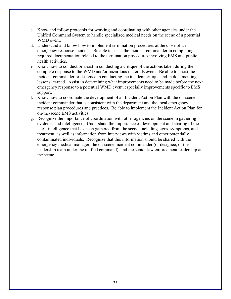- c. Know and follow protocols for working and coordinating with other agencies under the Unified Command System to handle specialized medical needs on the scene of a potential WMD event.
- d. Understand and know how to implement termination procedures at the close of an emergency response incident. Be able to assist the incident commander in completing required documentation related to the termination procedures involving EMS and public health activities.
- e. Know how to conduct or assist in conducting a critique of the actions taken during the complete response to the WMD and/or hazardous materials event. Be able to assist the incident commander or designee in conducting the incident critique and in documenting lessons learned. Assist in determining what improvements need to be made before the next emergency response to a potential WMD event, especially improvements specific to EMS support.
- f. Know how to coordinate the development of an Incident Action Plan with the on-scene incident commander that is consistent with the department and the local emergency response plan procedures and practices. Be able to implement the Incident Action Plan for on-the-scene EMS activities.
- g. Recognize the importance of coordination with other agencies on the scene in gathering evidence and intelligence. Understand the importance of development and sharing of the latest intelligence that has been gathered from the scene, including signs, symptoms, and treatment, as well as information from interviews with victims and other potentially contaminated individuals. Recognize that this information should be shared with the emergency medical manager, the on-scene incident commander (or designee, or the leadership team under the unified command), and the senior law enforcement leadership at the scene.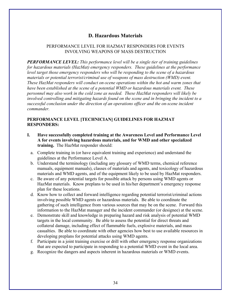## **D. Hazardous Materials**

#### PERFORMANCE LEVEL FOR HAZMAT RESPONDERS FOR EVENTS INVOLVING WEAPONS OF MASS DESTRUCTION

*PERFORMANCE LEVEL: This performance level will be a single tier of training guidelines for hazardous materials (HazMat) emergency responders. These guidelines at the performance level target those emergency responders who will be responding to the scene of a hazardous materials or potential terrorist/criminal use of weapons of mass destruction (WMD) event. These HazMat responders will conduct on-scene operations within the hot and warm zones that have been established at the scene of a potential WMD or hazardous materials event. These personnel may also work in the cold zone as needed. These HazMat responders will likely be involved controlling and mitigating hazards found on the scene and in bringing the incident to a successful conclusion under the direction of an operations officer and the on-scene incident commander.* 

#### **PERFORMANCE LEVEL [TECHNICIAN] GUIDELINES FOR HAZMAT RESPONDERS:**

- **I. Have successfully completed training at the Awareness Level and Performance Level A for events involving hazardous materials, and for WMD and other specialized training.** The HazMat responder should:
	- a. Complete training in (or have equivalent training and experience) and understand the guidelines at the Performance Level A.
	- b. Understand the terminology (including any glossary of WMD terms, chemical reference manuals, equipment manuals), classes of materials and agents, and toxicology of hazardous materials and WMD agents, and of the equipment likely to be used by HazMat responders.
	- c. Be aware of any potential targets for possible attack by persons using WMD agents or HazMat materials. Know preplans to be used in his/her department's emergency response plan for these locations.
	- d. Know how to collect and forward intelligence regarding potential terrorist/criminal actions involving possible WMD agents or hazardous materials. Be able to coordinate the gathering of such intelligence from various sources that may be on the scene. Forward this information to the HazMat manager and the incident commander (or designee) at the scene.
	- e. Demonstrate skill and knowledge in preparing hazard and risk analysis of potential WMD targets in the local community. Be able to assess the potential for direct threats and collateral damage, including effect of flammable fuels, explosive materials, and mass casualties. Be able to coordinate with other agencies how best to use available resources in developing preplans for potential attacks using WMD agents.
	- f. Participate in a joint training exercise or drill with other emergency response organizations that are expected to participate in responding to a potential WMD event in the local area.
	- g. Recognize the dangers and aspects inherent in hazardous materials or WMD events.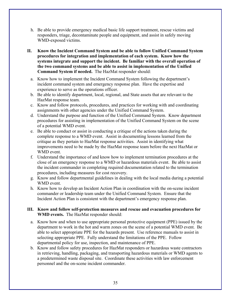- h. Be able to provide emergency medical basic life support treatment, rescue victims and responders, triage, decontaminate people and equipment, and assist in safely moving WMD-exposed victims.
- **II. Know the Incident Command System and be able to follow Unified Command System procedures for integration and implementation of each system. Know how the systems integrate and support the incident. Be familiar with the overall operation of the two command systems and be able to assist in implementation of the Unified Command System if needed.** The HazMat responder should:
	- a. Know how to implement the Incident Command System following the department's incident command system and emergency response plan. Have the expertise and experience to serve as the operations officer.
	- b. Be able to identify department, local, regional, and State assets that are relevant to the HazMat response team.
	- c. Know and follow protocols, procedures, and practices for working with and coordinating assignments with other agencies under the Unified Command System.
	- d. Understand the purpose and function of the Unified Command System. Know department procedures for assisting in implementation of the Unified Command System on the scene of a potential WMD event.
	- e. Be able to conduct or assist in conducting a critique of the actions taken during the complete response to a WMD event. Assist in documenting lessons learned from the critique as they pertain to HazMat response activities. Assist in identifying what improvements need to be made by the HazMat response team before the next HazMat or WMD event.
	- f. Understand the importance of and know how to implement termination procedures at the close of an emergency response to a WMD or hazardous materials event. Be able to assist the incident commander in completing required documentation related to the termination procedures, including measures for cost recovery.
	- g. Know and follow departmental guidelines in dealing with the local media during a potential WMD event.
	- h. Know how to develop an Incident Action Plan in coordination with the on-scene incident commander or leadership team under the Unified Command System. Ensure that the Incident Action Plan is consistent with the department's emergency response plan.

#### **III. Know and follow self-protection measures and rescue and evacuation procedures for WMD events.** The HazMat responder should:

- a. Know how and when to use appropriate personal protective equipment (PPE) issued by the department to work in the hot and warm zones on the scene of a potential WMD event. Be able to select appropriate PPE for the hazards present. Use reference manuals to assist in selecting appropriate PPE. Fully understand the limitations of the PPE. Follow departmental policy for use, inspection, and maintenance of PPE.
- b. Know and follow safety procedures for HazMat responders or hazardous waste contractors in retrieving, handling, packaging, and transporting hazardous materials or WMD agents to a predetermined waste disposal site. Coordinate these activities with law enforcement personnel and the on-scene incident commander.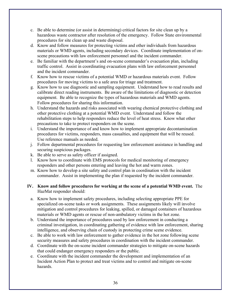- c. Be able to determine (or assist in determining) critical factors for site clean up by a hazardous waste contractor after resolution of the emergency. Follow State environmental procedures for site clean up and waste disposal.
- d. Know and follow measures for protecting victims and other individuals from hazardous materials or WMD agents, including secondary devices. Coordinate implementation of onscene precautions with law enforcement personnel and the incident commander.
- e. Be familiar with the department's and on-scene commander's evacuation plan, including traffic control. Assist in coordinating evacuation plans with law enforcement personnel and the incident commander.
- f. Know how to rescue victims of a potential WMD or hazardous materials event. Follow procedures for moving victims to a safe area for triage and treatment.
- g. Know how to use diagnostic and sampling equipment. Understand how to read results and calibrate direct reading instruments. Be aware of the limitations of diagnostic or detection equipment. Be able to recognize the types of hazardous materials and WMD agents. Follow procedures for sharing this information.
- h. Understand the hazards and risks associated with wearing chemical protective clothing and other protective clothing at a potential WMD event. Understand and follow the rehabilitation steps to help responders reduce the level of heat stress. Know what other precautions to take to protect responders on the scene.
- i. Understand the importance of and know how to implement appropriate decontamination procedures for victims, responders, mass casualties, and equipment that will be reused. Use reference manuals as needed.
- j. Follow departmental procedures for requesting law enforcement assistance in handling and securing suspicious packages.
- k. Be able to serve as safety officer if assigned.
- l. Know how to coordinate with EMS protocols for medical monitoring of emergency responders and other persons entering and leaving the hot and warm zones.
- m. Know how to develop a site safety and control plan in coordination with the incident commander. Assist in implementing the plan if requested by the incident commander.

#### **IV. Know and follow procedures for working at the scene of a potential WMD event.** The HazMat responder should:

- a. Know how to implement safety procedures, including selecting appropriate PPE for specialized on-scene tasks or work assignments. These assignments likely will involve mitigation and control procedures for leaking, spilled, or damaged containers of hazardous materials or WMD agents or rescue of non-ambulatory victims in the hot zone.
- b. Understand the importance of procedures used by law enforcement in conducting a criminal investigation, in coordinating gathering of evidence with law enforcement, sharing intelligence, and observing chain of custody in protecting crime scene evidence.
- c. Be able to work with law enforcement to gather evidence in the hot zone following scene security measures and safety procedures in coordination with the incident commander.
- d. Coordinate with the on-scene incident commander strategies to mitigate on-scene hazards that could endanger emergency responders or the public.
- e. Coordinate with the incident commander the development and implementation of an Incident Action Plan to protect and treat victims and to control and mitigate on-scene hazards.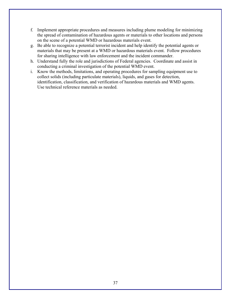- f. Implement appropriate procedures and measures including plume modeling for minimizing the spread of contamination of hazardous agents or materials to other locations and persons on the scene of a potential WMD or hazardous materials event.
- g. Be able to recognize a potential terrorist incident and help identify the potential agents or materials that may be present at a WMD or hazardous materials event. Follow procedures for sharing intelligence with law enforcement and the incident commander.
- h. Understand fully the role and jurisdictions of Federal agencies. Coordinate and assist in conducting a criminal investigation of the potential WMD event.
- i. Know the methods, limitations, and operating procedures for sampling equipment use to collect solids (including particulate materials), liquids, and gases for detection, identification, classification, and verification of hazardous materials and WMD agents. Use technical reference materials as needed.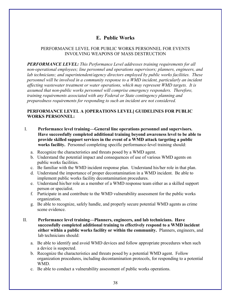### **E. Public Works**

#### PERFORMANCE LEVEL FOR PUBLIC WORKS PERSONNEL FOR EVENTS INVOLVING WEAPONS OF MASS DESTRUCTION

*PERFORMANCE LEVEL: This Performance Level addresses training requirements for all non-operational employees; line personnel and operations supervisors; planners, engineers, and lab technicians; and superintendent/agency directors employed by public works facilities. These personnel will be involved in a community response to a WMD incident, particularly an incident affecting wastewater treatment or water operations, which may represent WMD targets. It is assumed that non-public works personnel will comprise emergency responders. Therefore, training requirements associated with any Federal or State contingency planning and preparedness requirements for responding to such an incident are not considered.* 

#### **PERFORMANCE LEVEL A [OPERATIONS LEVEL] GUIDELINES FOR PUBLIC WORKS PERSONNEL:**

- I. **Performance level training—General line operations personnel and supervisors. Have successfully completed additional training beyond awareness level to be able to provide skilled support services in the event of a WMD attack targeting a public works facility.** Personnel completing specific performance-level training should:
	- a. Recognize the characteristics and threats posed by a WMD agent.
	- b. Understand the potential impact and consequences of use of various WMD agents on public works facilities.
	- c. Be familiar with the WMD incident response plan. Understand his/her role in that plan.
	- d. Understand the importance of proper decontamination in a WMD incident. Be able to implement public works facility decontamination procedures.
	- e. Understand his/her role as a member of a WMD response team either as a skilled support person or specialist.
	- f. Participate in and contribute to the WMD vulnerability assessment for the public works organization.
	- g. Be able to recognize, safely handle, and properly secure potential WMD agents as crime scene evidence.
- II. **Performance level training—Planners, engineers, and lab technicians. Have successfully completed additional training to effectively respond to a WMD incident either within a public works facility or within the community.** Planners, engineers, and lab technicians should:
	- a. Be able to identify and avoid WMD devices and follow appropriate procedures when such a device is suspected.
	- b. Recognize the characteristics and threats posed by a potential WMD agent. Follow organization procedures, including decontamination protocols, for responding to a potential WMD.
	- c. Be able to conduct a vulnerability assessment of public works operations.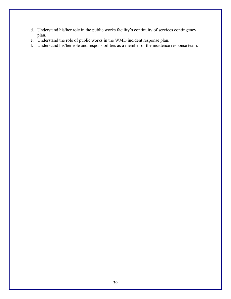- d. Understand his/her role in the public works facility's continuity of services contingency plan.
- e. Understand the role of public works in the WMD incident response plan.
- f. Understand his/her role and responsibilities as a member of the incidence response team.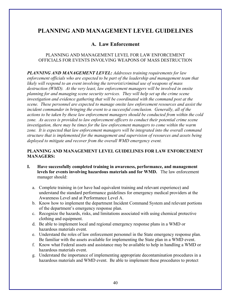# **PLANNING AND MANAGEMENT LEVEL GUIDELINES**

## **A. Law Enforcement**

#### PLANNING AND MANAGEMENT LEVEL FOR LAW ENFORCEMENT OFFICIALS FOR EVENTS INVOLVING WEAPONS OF MASS DESTRUCTION

*PLANNING AND MANAGEMENT LEVEL: Addresses training requirements for law enforcement officials who are expected to be part of the leadership and management team that likely will respond to an event involving the terrorist/criminal use of weapons of mass destruction (WMD). At the very least, law enforcement managers will be involved in onsite planning for and managing scene security services. They will help set up the crime scene investigation and evidence gathering that will be coordinated with the command post at the scene. These personnel are expected to manage onsite law enforcement resources and assist the incident commander in bringing the event to a successful conclusion. Generally, all of the actions to be taken by these law enforcement managers should be conducted from within the cold zone. As access is provided to law enforcement officers to conduct their potential crime scene investigation, there may be times for the law enforcement managers to come within the warm zone. It is expected that law enforcement managers will be integrated into the overall command structure that is implemented for the management and supervision of resources and assets being deployed to mitigate and recover from the overall WMD emergency event.* 

#### **PLANNING AND MANAGEMENT LEVEL GUIDELINES FOR LAW ENFORCEMENT MANAGERS:**

- **I. Have successfully completed training in awareness, performance, and management levels for events involving hazardous materials and for WMD.** The law enforcement manager should:
	- a. Complete training in (or have had equivalent training and relevant experience) and understand the standard performance guidelines for emergency medical providers at the Awareness Level and at Performance Level A.
	- b. Know how to implement the department Incident Command System and relevant portions of the department's emergency response plan.
	- c. Recognize the hazards, risks, and limitations associated with using chemical protective clothing and equipment.
	- d. Be able to implement local and regional emergency response plans in a WMD or hazardous materials event.
	- e. Understand the roles of law enforcement personnel in the State emergency response plan. Be familiar with the assets available for implementing the State plan in a WMD event.
	- f. Know what Federal assets and assistance may be available to help in handling a WMD or hazardous materials event.
	- g. Understand the importance of implementing appropriate decontamination procedures in a hazardous materials and WMD event. Be able to implement these procedures to protect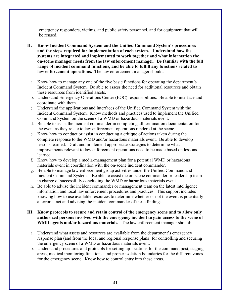emergency responders, victims, and public safety personnel, and for equipment that will be reused.

- **II. Know Incident Command System and the Unified Command System's procedures and the steps required for implementation of each system. Understand how the systems are integrated and implemented to work together and what information the on-scene manager needs from the law enforcement manager. Be familiar with the full range of incident command functions, and be able to fulfill any functions related to law enforcement operations.** The law enforcement manager should:
	- a. Know how to manage any one of the five basic functions for operating the department's Incident Command System. Be able to assess the need for additional resources and obtain these resources from identified assets.
	- b. Understand Emergency Operations Center (EOC) responsibilities. Be able to interface and coordinate with them.
	- c. Understand the applications and interfaces of the Unified Command System with the Incident Command System. Know methods and practices used to implement the Unified Command System on the scene of a WMD or hazardous materials event.
	- d. Be able to assist the incident commander in completing all termination documentation for the event as they relate to law enforcement operations rendered at the scene.
	- e. Know how to conduct or assist in conducting a critique of actions taken during the complete response to the WMD and/or hazardous materials event. Be able to develop lessons learned. Draft and implement appropriate strategies to determine what improvements relevant to law enforcement operations need to be made based on lessons learned.
	- f. Know how to develop a media-management plan for a potential WMD or hazardous materials event in coordination with the on-scene incident commander.
	- g. Be able to manage law enforcement group activities under the Unified Command and Incident Command Systems. Be able to assist the on-scene commander or leadership team in charge of successfully concluding the WMD or hazardous materials event.
	- h. Be able to advise the incident commander or management team on the latest intelligence information and local law enforcement procedures and practices. This support includes knowing how to use available resources to determine whether or not the event is potentially a terrorist act and advising the incident commander of these findings.

#### **III. Know protocols to secure and retain control of the emergency scene and to allow only authorized persons involved with the emergency incident to gain access to the scene of WMD agents and/or hazardous materials.** The law enforcement manager should:

- a. Understand what assets and resources are available from the department's emergency response plan (and from the local and regional response plans) for controlling and securing the emergency scene of a WMD or hazardous materials event.
- b. Understand procedures and protocols for setting up locations for the command post, staging areas, medical monitoring functions, and proper isolation boundaries for the different zones for the emergency scene. Know how to control entry into these areas.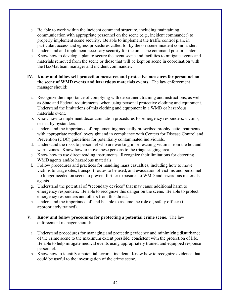- c. Be able to work within the incident command structure, including maintaining communication with appropriate personnel on the scene (e.g., incident commander) to properly implement scene security. Be able to implement the traffic control plan, in particular, access and egress procedures called for by the on-scene incident commander.
- d. Understand and implement necessary security for the on-scene command post or center.
- e. Know how to develop a plan to secure the event scene and facilities to mitigate agents and materials removed from the scene or those that will be kept on scene in coordination with the HazMat team manager and incident commander.

#### **IV. Know and follow self-protection measures and protective measures for personnel on the scene of WMD events and hazardous materials events.** The law enforcement manager should:

- a. Recognize the importance of complying with department training and instructions, as well as State and Federal requirements, when using personal protective clothing and equipment. Understand the limitations of this clothing and equipment in a WMD or hazardous materials event.
- b. Know how to implement decontamination procedures for emergency responders, victims, or nearby bystanders.
- c. Understand the importance of implementing medically prescribed prophylactic treatments with appropriate medical oversight and in compliance with Centers for Disease Control and Prevention (CDC) guidelines for potentially contaminated individuals.
- d. Understand the risks to personnel who are working in or rescuing victims from the hot and warm zones. Know how to move these persons to the triage staging area.
- e. Know how to use direct reading instruments. Recognize their limitations for detecting WMD agents and/or hazardous materials.
- f. Follow procedures and practices for handling mass casualties, including how to move victims to triage sites, transport routes to be used, and evacuation of victims and personnel no longer needed on scene to prevent further exposures to WMD and hazardous materials agents.
- g. Understand the potential of "secondary devices" that may cause additional harm to emergency responders. Be able to recognize this danger on the scene. Be able to protect emergency responders and others from this threat.
- h. Understand the importance of, and be able to assume the role of, safety officer (if appropriately trained).
- **V. Know and follow procedures for protecting a potential crime scene.** The law enforcement manager should:
	- a. Understand procedures for managing and protecting evidence and minimizing disturbance of the crime scene to the maximum extent possible, consistent with the protection of life. Be able to help mitigate medical events using appropriately trained and equipped response personnel.
	- b. Know how to identify a potential terrorist incident. Know how to recognize evidence that could be useful to the investigation of the crime scene.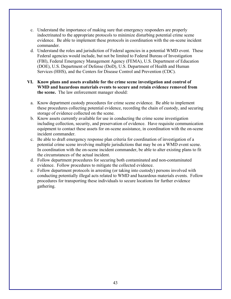- c. Understand the importance of making sure that emergency responders are properly indoctrinated to the appropriate protocols to minimize disturbing potential crime scene evidence. Be able to implement these protocols in coordination with the on-scene incident commander.
- d. Understand the roles and jurisdiction of Federal agencies in a potential WMD event. These Federal agencies would include, but not be limited to Federal Bureau of Investigation (FBI), Federal Emergency Management Agency (FEMA), U.S. Department of Education (DOE), U.S. Department of Defense (DoD), U.S. Department of Health and Human Services (HHS), and the Centers for Disease Control and Prevention (CDC).

#### **VI. Know plans and assets available for the crime scene investigation and control of WMD and hazardous materials events to secure and retain evidence removed from the scene.** The law enforcement manager should:

- a. Know department custody procedures for crime scene evidence. Be able to implement these procedures collecting potential evidence, recording the chain of custody, and securing storage of evidence collected on the scene.
- b. Know assets currently available for use in conducting the crime scene investigation including collection, security, and preservation of evidence. Have requisite communication equipment to contact these assets for on-scene assistance, in coordination with the on-scene incident commander.
- c. Be able to draft emergency response plan criteria for coordination of investigation of a potential crime scene involving multiple jurisdictions that may be on a WMD event scene. In coordination with the on-scene incident commander, be able to alter existing plans to fit the circumstances of the actual incident.
- d. Follow department procedures for securing both contaminated and non-contaminated evidence. Follow procedures to mitigate the collected evidence.
- e. Follow department protocols in arresting (or taking into custody) persons involved with conducting potentially illegal acts related to WMD and hazardous materials events. Follow procedures for transporting these individuals to secure locations for further evidence gathering.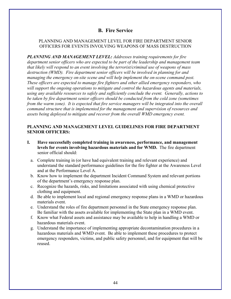### **B. Fire Service**

#### PLANNING AND MANAGEMENT LEVEL FOR FIRE DEPARTMENT SENIOR OFFICERS FOR EVENTS INVOLVING WEAPONS OF MASS DESTRUCTION

*PLANNING AND MANAGEMENT LEVEL: Addresses training requirements for fire department senior officers who are expected to be part of the leadership and management team that likely will respond to an event involving the terrorist/criminal use of weapons of mass destruction (WMD). Fire department senior officers will be involved in planning for and managing the emergency on-site scene and will help implement the on-scene command post. These officers are expected to manage fire fighters and other allied emergency responders, who will support the ongoing operations to mitigate and control the hazardous agents and materials, using any available resources to safely and sufficiently conclude the event. Generally, actions to be taken by fire department senior officers should be conducted from the cold zone (sometimes from the warm zone). It is expected that fire service managers will be integrated into the overall command structure that is implemented for the management and supervision of resources and assets being deployed to mitigate and recover from the overall WMD emergency event.* 

#### **PLANNING AND MANAGEMENT LEVEL GUIDELINES FOR FIRE DEPARTMENT SENIOR OFFICERS:**

- **I. Have successfully completed training in awareness, performance, and management levels for events involving hazardous materials and for WMD.** The fire department senior official should:
	- a. Complete training in (or have had equivalent training and relevant experience) and understand the standard performance guidelines for the fire fighter at the Awareness Level and at the Performance Level A.
	- b. Know how to implement the department Incident Command System and relevant portions of the department's emergency response plan.
	- c. Recognize the hazards, risks, and limitations associated with using chemical protective clothing and equipment.
	- d. Be able to implement local and regional emergency response plans in a WMD or hazardous materials event.
	- e. Understand the roles of fire department personnel in the State emergency response plan. Be familiar with the assets available for implementing the State plan in a WMD event.
	- f. Know what Federal assets and assistance may be available to help in handling a WMD or hazardous materials event.
	- g. Understand the importance of implementing appropriate decontamination procedures in a hazardous materials and WMD event. Be able to implement these procedures to protect emergency responders, victims, and public safety personnel, and for equipment that will be reused.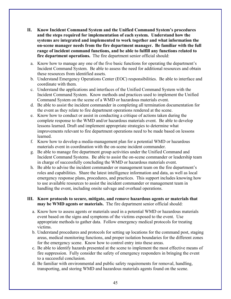- **II. Know Incident Command System and the Unified Command System's procedures and the steps required for implementation of each system. Understand how the systems are integrated and implemented to work together and what information the on-scene manager needs from the fire department manager. Be familiar with the full range of incident command functions, and be able to fulfill any functions related to fire department operations.** The fire department senior official should:
	- a. Know how to manage any one of the five basic functions for operating the department's Incident Command System. Be able to assess the need for additional resources and obtain these resources from identified assets.
	- b. Understand Emergency Operations Center (EOC) responsibilities. Be able to interface and coordinate with them.
	- c. Understand the applications and interfaces of the Unified Command System with the Incident Command System. Know methods and practices used to implement the Unified Command System on the scene of a WMD or hazardous materials event.
	- d. Be able to assist the incident commander in completing all termination documentation for the event as they relate to fire department operations rendered at the scene.
	- e. Know how to conduct or assist in conducting a critique of actions taken during the complete response to the WMD and/or hazardous materials event. Be able to develop lessons learned. Draft and implement appropriate strategies to determine what improvements relevant to fire department operations need to be made based on lessons learned.
	- f. Know how to develop a media-management plan for a potential WMD or hazardous materials event in coordination with the on-scene incident commander.
	- g. Be able to manage fire department group activities under the Unified Command and Incident Command Systems. Be able to assist the on-scene commander or leadership team in charge of successfully concluding the WMD or hazardous materials event.
	- h. Be able to advise the incident commander or management team on the fire department's roles and capabilities. Share the latest intelligence information and data, as well as local emergency response plans, procedures, and practices. This support includes knowing how to use available resources to assist the incident commander or management team in handling the event, including onsite salvage and overhaul operations.

#### **III. Know protocols to secure, mitigate, and remove hazardous agents or materials that may be WMD agents or materials.** The fire department senior official should:

- a. Know how to assess agents or materials used in a potential WMD or hazardous materials event based on the signs and symptoms of the victims exposed to the event. Use appropriate methods to gather data. Follow emergency medical protocols for treating victims.
- b. Understand procedures and protocols for setting up locations for the command post, staging areas, medical monitoring functions, and proper isolation boundaries for the different zones for the emergency scene. Know how to control entry into these areas.
- c. Be able to identify hazards presented at the scene to implement the most effective means of fire suppression. Fully consider the safety of emergency responders in bringing the event to a successful conclusion.
- d. Be familiar with environmental and public safety requirements for removal, handling, transporting, and storing WMD and hazardous materials agents found on the scene.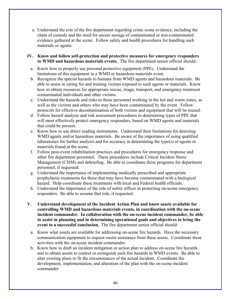e. Understand the role of the fire department regarding crime scene evidence, including the chain of custody and the need for secure storage of contaminated or non-contaminated evidence gathered at the scene. Follow safety and health procedures for handling such materials or agents.

#### **IV. Know and follow self-protection and protective measures for emergency responders to WMD and hazardous materials events.** The fire department senior official should:

- a. Know how to properly use personal protective equipment (PPE). Understand the limitations of this equipment in a WMD or hazardous materials event.
- b. Recognize the special hazards to humans from WMD agents and hazardous materials. Be able to assist in caring for and treating victims exposed to such agents or materials. Know how to obtain resources for appropriate rescue, triage, transport, and emergency treatment contaminated individuals and other victims.
- c. Understand the hazards and risks to those personnel working in the hot and warm zones, as well as the victims and others who may have been contaminated by the event. Follow protocols for effective decontamination of both victims and equipment that will be reused.
- d. Follow hazard analysis and risk assessment procedures in determining types of PPE that will most effectively protect emergency responders, based on WMD agents and materials that could be present.
- e. Know how to use direct reading instruments. Understand their limitations for detecting WMD agents and/or hazardous materials. Be aware of the importance of using qualified laboratories for further analysis and for accuracy in determining the type(s) of agents or materials found at the scene.
- f. Follow post-event rehabilitation practices and procedures for emergency response and other fire department personnel. These procedures include Critical Incident Stress Management (CISM) and debriefing. Be able to coordinate these programs for department personnel, if requested.
- g. Understand the importance of implementing medically prescribed and appropriate prophylactic treatments for those that may have become contaminated with a biological hazard. Help coordinate these treatments with local and Federal health officials.
- h. Understand the importance of the role of safety officer in protecting on-scene emergency responders. Be able to assume that role, if requested.
- **V. Understand development of the Incident Action Plan and know assets available for controlling WMD and hazardous materials events, in coordination with the on-scene incident commander. In collaboration with the on-scene incident commander, be able to assist in planning and in determining operational goals and objectives to bring the event to a successful conclusion.** The fire department senior official should:
	- a. Know what assets are available for addressing on-scene fire hazards. Have the necessary communication equipment to request onsite assistance from these assets. Coordinate these activities with the on-scene incident commander.
	- b. Know how to draft an incident mitigation or action plan to address on-scene fire hazards and to obtain assets to control or extinguish such fire hazards in WMD events. Be able to alter existing plans to fit the circumstances of the actual incident. Coordinate the development, implementation, and alteration of the plan with the on-scene incident commander.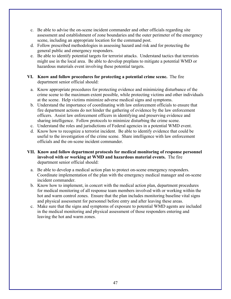- c. Be able to advise the on-scene incident commander and other officials regarding site assessment and establishment of zone boundaries and the outer perimeter of the emergency scene, including an appropriate location for the command post.
- d. Follow prescribed methodologies in assessing hazard and risk and for protecting the general public and emergency responders.
- e. Be able to identify potential targets for terrorist attacks. Understand tactics that terrorists might use in the local area. Be able to develop preplans to mitigate a potential WMD or hazardous materials event involving these potential targets.
- **VI. Know and follow procedures for protecting a potential crime scene.** The fire department senior official should:
	- a. Know appropriate procedures for protecting evidence and minimizing disturbance of the crime scene to the maximum extent possible, while protecting victims and other individuals at the scene. Help victims minimize adverse medical signs and symptoms.
	- b. Understand the importance of coordinating with law enforcement officials to ensure that fire department actions do not hinder the gathering of evidence by the law enforcement officers. Assist law enforcement officers in identifying and preserving evidence and sharing intelligence. Follow protocols to minimize disturbing the crime scene.
	- c. Understand the roles and jurisdictions of Federal agencies in a potential WMD event.
	- d. Know how to recognize a terrorist incident. Be able to identify evidence that could be useful to the investigation of the crime scene. Share intelligence with law enforcement officials and the on-scene incident commander.
- **VII. Know and follow department protocols for medical monitoring of response personnel involved with or working at WMD and hazardous material events.** The fire department senior official should:
	- a. Be able to develop a medical action plan to protect on-scene emergency responders. Coordinate implementation of the plan with the emergency medical manager and on-scene incident commander.
	- b. Know how to implement, in concert with the medical action plan, department procedures for medical monitoring of all response team members involved with or working within the hot and warm control zones. Ensure that the plan includes monitoring baseline vital signs and physical assessment for personnel before entry and after leaving these areas.
	- c. Make sure that the signs and symptoms of exposure to potential WMD agents are included in the medical monitoring and physical assessment of those responders entering and leaving the hot and warm zones.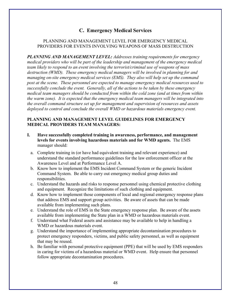# **C. Emergency Medical Services**

#### PLANNING AND MANAGEMENT LEVEL FOR EMERGENCY MEDICAL PROVIDERS FOR EVENTS INVOLVING WEAPONS OF MASS DESTRUCTION

*PLANNING AND MANAGEMENT LEVEL: Addresses training requirements for emergency medical providers who will be part of the leadership and management of the emergency medical team likely to respond to an event involving the terrorist/criminal use of weapons of mass destruction (WMD). These emergency medical managers will be involved in planning for and managing on-site emergency medical services (EMS). They also will help set up the command post at the scene. These personnel are expected to manage emergency medical resources used to successfully conclude the event. Generally, all of the actions to be taken by these emergency medical team managers should be conducted from within the cold zone (and at times from within the warm zone). It is expected that the emergency medical team managers will be integrated into the overall command structure set up for management and supervision of resources and assets deployed to control and conclude the overall WMD or hazardous materials emergency event.* 

#### **PLANNING AND MANAGEMENT LEVEL GUIDELINES FOR EMERGENCY MEDICAL PROVIDERS TEAM MANAGERS:**

- **I. Have successfully completed training in awareness, performance, and management levels for events involving hazardous materials and for WMD agents.** The EMS manager should:
	- a. Complete training in (or have had equivalent training and relevant experience) and understand the standard performance guidelines for the law enforcement officer at the Awareness Level and at Performance Level A.
	- b. Know how to implement the EMS Incident Command System or the generic Incident Command System. Be able to carry out emergency medical group duties and responsibilities.
	- c. Understand the hazards and risks to response personnel using chemical protective clothing and equipment. Recognize the limitations of such clothing and equipment.
	- d. Know how to implement those components of local and regional emergency response plans that address EMS and support group activities. Be aware of assets that can be made available from implementing such plans.
	- e. Understand the role of EMS in the State emergency response plan. Be aware of the assets available from implementing the State plan in a WMD or hazardous materials event.
	- f. Understand what Federal assets and assistance may be available to help in handling a WMD or hazardous materials event.
	- g. Understand the importance of implementing appropriate decontamination procedures to protect emergency responders, victims, and public safety personnel, as well as equipment that may be reused.
	- h. Be familiar with personal protective equipment (PPE) that will be used by EMS responders in caring for victims of a hazardous material or WMD event. Help ensure that personnel follow appropriate decontamination procedures.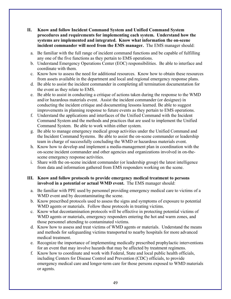- **II. Know and follow Incident Command System and Unified Command System procedures and requirements for implementing each system. Understand how the systems are implemented and integrated. Know what information the on-scene incident commander will need from the EMS manager.** The EMS manager should:
	- a. Be familiar with the full range of incident command functions and be capable of fulfilling any one of the five functions as they pertain to EMS operations.
	- b. Understand Emergency Operations Center (EOC) responsibilities. Be able to interface and coordinate with them.
	- c. Know how to assess the need for additional resources. Know how to obtain these resources from assets available in the department and local and regional emergency response plans.
	- d. Be able to assist the incident commander in completing all termination documentation for the event as they relate to EMS.
	- e. Be able to assist in conducting a critique of actions taken during the response to the WMD and/or hazardous materials event. Assist the incident commander (or designee) in conducting the incident critique and documenting lessons learned. Be able to suggest improvements in planning response to future events as they pertain to EMS operations.
	- f. Understand the applications and interfaces of the Unified Command with the Incident Command System and the methods and practices that are used to implement the Unified Command System. Be able to work within either system.
	- g. Be able to manage emergency medical group activities under the Unified Command and the Incident Command Systems. Be able to assist the on-scene commander or leadership team in charge of successfully concluding the WMD or hazardous materials event.
	- h. Know how to develop and implement a media-management plan in coordination with the on-scene incident commander and other agencies and organizations involved in on-thescene emergency response activities.
	- i. Share with the on-scene incident commander (or leadership group) the latest intelligence from data and information gathered from EMS responders working on the scene.

#### **III. Know and follow protocols to provide emergency medical treatment to persons involved in a potential or actual WMD event.** The EMS manager should:

- a. Be familiar with PPE used by personnel providing emergency medical care to victims of a WMD event and by decontaminating the scene.
- b. Know prescribed protocols used to assess the signs and symptoms of exposure to potential WMD agents or materials. Follow these protocols in treating victims.
- c. Know what decontamination protocols will be effective in protecting potential victims of WMD agents or materials, emergency responders entering the hot and warm zones, and those personnel attending to contaminated victims.
- d. Know how to assess and treat victims of WMD agents or materials. Understand the means and methods for safeguarding victims transported to nearby hospitals for more advanced medical treatment.
- e. Recognize the importance of implementing medically prescribed prophylactic interventions for an event that may involve hazards that may be affected by treatment regimens.
- f. Know how to coordinate and work with Federal, State and local public health officials, including Centers for Disease Control and Prevention (CDC) officials, to provide emergency medical care and longer-term care for those persons exposed to WMD materials or agents.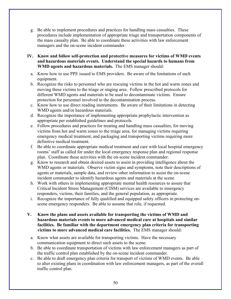g. Be able to implement procedures and practices for handling mass casualties. These procedures include implementation of appropriate triage and transportation components of the mass casualty plan. Be able to coordinate these activities with law enforcement managers and the on-scene incident commander.

#### **IV. Know and follow self-protection and protective measures for victims of WMD events and hazardous materials events. Understand the special hazards to humans from WMD agents and hazardous materials.** The EMS manager should:

- a. Know how to use PPE issued to EMS providers. Be aware of the limitations of such equipment.
- b. Recognize the risks to personnel who are rescuing victims in the hot and warm zones and moving these victims to the triage or staging area. Follow prescribed protocols for different WMD agents and materials to be used to decontaminate victims. Ensure protection for personnel involved in the decontamination process.
- c. Know how to use direct reading instruments. Be aware of their limitations in detecting WMD agents and/or hazardous materials.
- d. Recognize the importance of implementing appropriate prophylactic intervention as appropriate per established guidelines and protocols.
- e. Follow procedures and practices for treating and handling mass casualties, for moving victims from hot and warm zones to the triage area, for managing victims requiring emergency medical treatment, and packaging and transporting victims requiring more definitive medical treatment.
- f. Be able to coordinate appropriate medical treatment and care with local hospital emergency rooms' staff as called for under the local emergency response plan and regional response plan. Coordinate these activities with the on-scene incident commander.
- g. Know to research and obtain desired assets to assist in providing intelligence about the WMD agents or materials. Observe victim signs and symptoms, note their descriptions of agents or materials, sample data, and review other information to assist the on-scene incident commander to identify hazardous agents and materials at the scene.
- h. Work with others in implementing appropriate mental health resources to assure that Critical Incident Stress Management (CISM) services are available to emergency responders, victims, their families, and the general population, as appropriate.
- i. Recognize the importance of fully qualified and equipped safety officers in protecting onscene emergency responders. Be able to assume that role, if requested.
- **V. Know the plans and assets available for transporting the victims of WMD and hazardous materials events to more advanced medical care at hospitals and similar facilities. Be familiar with the department emergency plan criteria for transporting victims to more advanced medical care facilities.** The EMS manager should:
	- a. Know what assets are available for transporting victims. Have the necessary communication equipment to direct such assets to the scene.
	- b. Be able to coordinate transportation of victims with law enforcement managers as part of the traffic control plan established by the on-scene incident commander.
	- c. Be able to draft emergency plan criteria for transport of victims of WMD events. Be able to alter existing plans in coordination with law enforcement managers, as part of the overall traffic control plan.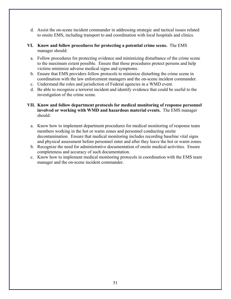- d. Assist the on-scene incident commander in addressing strategic and tactical issues related to onsite EMS, including transport to and coordination with local hospitals and clinics.
- **VI. Know and follow procedures for protecting a potential crime scene.** The EMS manager should:
	- a. Follow procedures for protecting evidence and minimizing disturbance of the crime scene to the maximum extent possible. Ensure that those procedures protect persons and help victims minimize adverse medical signs and symptoms.
	- b. Ensure that EMS providers follow protocols to minimize disturbing the crime scene in coordination with the law enforcement managers and the on-scene incident commander.
	- c. Understand the roles and jurisdiction of Federal agencies in a WMD event.
	- d. Be able to recognize a terrorist incident and identify evidence that could be useful to the investigation of the crime scene.

#### **VII. Know and follow department protocols for medical monitoring of response personnel involved or working with WMD and hazardous material events.** The EMS manager should:

- a. Know how to implement department procedures for medical monitoring of response team members working in the hot or warm zones and personnel conducting onsite decontamination. Ensure that medical monitoring includes recording baseline vital signs and physical assessment before personnel enter and after they leave the hot or warm zones.
- b. Recognize the need for administrative documentation of onsite medical activities. Ensure completeness and accuracy of such documentation.
- c. Know how to implement medical monitoring protocols in coordination with the EMS team manager and the on-scene incident commander.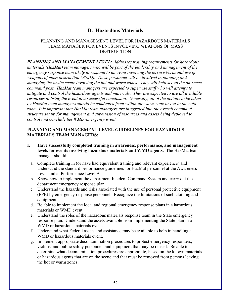### **D. Hazardous Materials**

#### PLANNING AND MANAGEMENT LEVEL FOR HAZARDOUS MATERIALS TEAM MANAGER FOR EVENTS INVOLVING WEAPONS OF MASS DESTRUCTION

*PLANNING AND MANAGEMENT LEVEL: Addresses training requirements for hazardous materials (HazMat) team managers who will be part of the leadership and management of the emergency response team likely to respond to an event involving the terrorist/criminal use of weapons of mass destruction (WMD). These personnel will be involved in planning and managing the onsite scene involving the hot and warm zones. They will help set up the on-scene command post. HazMat team managers are expected to supervise staff who will attempt to mitigate and control the hazardous agents and materials. They are expected to use all available resources to bring the event to a successful conclusion. Generally, all of the actions to be taken by HazMat team managers should be conducted from within the warm zone or out to the cold zone. It is important that HazMat team managers are integrated into the overall command structure set up for management and supervision of resources and assets being deployed to control and conclude the WMD emergency event.* 

#### **PLANNING AND MANAGEMENT LEVEL GUIDELINES FOR HAZARDOUS MATERIALS TEAM MANAGERS:**

- **I. Have successfully completed training in awareness, performance, and management levels for events involving hazardous materials and WMD agents.** The HazMat team manager should:
	- a. Complete training in (or have had equivalent training and relevant experience) and understand the standard performance guidelines for HazMat personnel at the Awareness Level and at Performance Level A.
	- b. Know how to implement the department Incident Command System and carry out the department emergency response plan.
	- c. Understand the hazards and risks associated with the use of personal protective equipment (PPE) by emergency response personnel. Recognize the limitations of such clothing and equipment.
	- d. Be able to implement the local and regional emergency response plans in a hazardous materials or WMD event.
	- e. Understand the roles of the hazardous materials response team in the State emergency response plan. Understand the assets available from implementing the State plan in a WMD or hazardous materials event.
	- f. Understand what Federal assets and assistance may be available to help in handling a WMD or hazardous materials event.
	- g. Implement appropriate decontamination procedures to protect emergency responders, victims, and public safety personnel, and equipment that may be reused. Be able to determine what decontamination procedures are appropriate, based on the known materials or hazardous agents that are on the scene and that must be removed from persons leaving the hot or warm zones.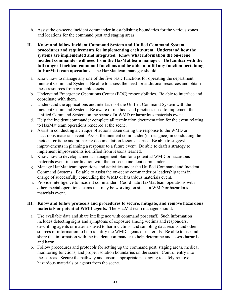- h. Assist the on-scene incident commander in establishing boundaries for the various zones and locations for the command post and staging areas.
- **II. Know and follow Incident Command System and Unified Command System procedures and requirements for implementing each system. Understand how the systems are implemented and integrated. Know what information the on-scene incident commander will need from the HazMat team manager. Be familiar with the full range of incident command functions and be able to fulfill any function pertaining to HazMat team operations.** The HazMat team manager should:
	- a. Know how to manage any one of the five basic functions for operating the department Incident Command System. Be able to assess the need for additional resources and obtain these resources from available assets.
	- b. Understand Emergency Operations Center (EOC) responsibilities. Be able to interface and coordinate with them.
	- c. Understand the applications and interfaces of the Unified Command System with the Incident Command System. Be aware of methods and practices used to implement the Unified Command System on the scene of a WMD or hazardous materials event.
	- d. Help the incident commander complete all termination documentation for the event relating to HazMat team operations rendered at the scene.
	- e. Assist in conducting a critique of actions taken during the response to the WMD or hazardous materials event. Assist the incident commander (or designee) in conducting the incident critique and preparing documentation lessons learned. Be able to suggest improvements in planning a response to a future event. Be able to draft a strategy to implement improvements identified from lessons learned.
	- f. Know how to develop a media-management plan for a potential WMD or hazardous materials event in coordination with the on-scene incident commander.
	- g. Manage HazMat team operations and activities under the Unified Command and Incident Command Systems. Be able to assist the on-scene commander or leadership team in charge of successfully concluding the WMD or hazardous materials event.
	- h. Provide intelligence to incident commander. Coordinate HazMat team operations with other special operations teams that may be working on site at a WMD or hazardous materials event.

#### **III. Know and follow protocols and procedures to secure, mitigate, and remove hazardous materials or potential WMD agents.** The HazMat team manager should:

- a. Use available data and share intelligence with command post staff. Such information includes detecting signs and symptoms of exposure among victims and responders, describing agents or materials used to harm victims, and sampling data results and other sources of information to help identify the WMD agents or materials. Be able to use and share this information with the incident commander to help determine and assess hazards and harm.
- b. Follow procedures and protocols for setting up the command post, staging areas, medical monitoring functions, and proper isolation boundaries on the scene. Control entry into these areas. Secure the pathway and ensure appropriate packaging to safely remove hazardous materials or agents from the scene.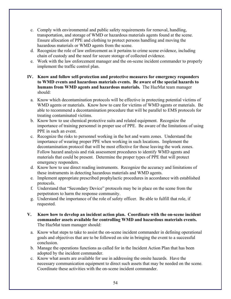- c. Comply with environmental and public safety requirements for removal, handling, transportation, and storage of WMD or hazardous materials agents found at the scene. Ensure allocation of PPE and clothing to protect persons handling and moving the hazardous materials or WMD agents from the scene.
- d. Recognize the role of law enforcement as it pertains to crime scene evidence, including chain of custody and the need for secure storage of collected evidence.
- e. Work with the law enforcement manager and the on-scene incident commander to properly implement the traffic control plan.
- **IV. Know and follow self-protection and protective measures for emergency responders to WMD events and hazardous materials events. Be aware of the special hazards to humans from WMD agents and hazardous materials.** The HazMat team manager should:
	- a. Know which decontamination protocols will be effective in protecting potential victims of WMD agents or materials. Know how to care for victims of WMD agents or materials. Be able to recommend a decontamination procedure that will be parallel to EMS protocols for treating contaminated victims.
	- b. Know how to use chemical protective suits and related equipment. Recognize the importance of training personnel in proper use of PPE. Be aware of the limitations of using PPE in such an event.
	- c. Recognize the risks to personnel working in the hot and warm zones. Understand the importance of wearing proper PPE when working in such locations. Implement the decontamination protocol that will be most effective for those leaving the work zones. Follow hazard analysis and risk assessment procedures to identify WMD agents and materials that could be present. Determine the proper types of PPE that will protect emergency responders.
	- d. Know how to use direct reading instruments. Recognize the accuracy and limitations of these instruments in detecting hazardous materials and WMD agents.
	- e. Implement appropriate prescribed prophylactic procedures in accordance with established protocols.
	- f. Understand that "Secondary Device" protocols may be in place on the scene from the perpetrators to harm the response community.
	- g. Understand the importance of the role of safety officer. Be able to fulfill that role, if requested.
- **V. Know how to develop an incident action plan. Coordinate with the on-scene incident commander assets available for controlling WMD and hazardous materials events.**  The HazMat team manager should:
	- a. Know what steps to take to assist the on-scene incident commander in defining operational goals and objectives that are to be followed on site in bringing the event to a successful conclusion.
	- b. Manage the operations functions as called for in the Incident Action Plan that has been adopted by the incident commander.
	- c. Know what assets are available for use in addressing the onsite hazards. Have the necessary communication equipment to direct such assets that may be needed on the scene. Coordinate these activities with the on-scene incident commander.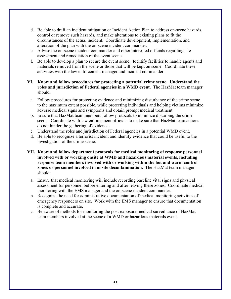- d. Be able to draft an incident mitigation or Incident Action Plan to address on-scene hazards, control or remove such hazards, and make alterations to existing plans to fit the circumstances of the actual incident. Coordinate development, implementation, and alteration of the plan with the on-scene incident commander.
- e. Advise the on-scene incident commander and other interested officials regarding site assessment and remediation of the event scene.
- f. Be able to develop a plan to secure the event scene. Identify facilities to handle agents and materials removed from the scene or those that will be kept on scene. Coordinate these activities with the law enforcement manager and incident commander.
- **VI. Know and follow procedures for protecting a potential crime scene. Understand the roles and jurisdiction of Federal agencies in a WMD event.** The HazMat team manager should:
	- a. Follow procedures for protecting evidence and minimizing disturbance of the crime scene to the maximum extent possible, while protecting individuals and helping victims minimize adverse medical signs and symptoms and obtain prompt medical treatment.
	- b. Ensure that HazMat team members follow protocols to minimize disturbing the crime scene. Coordinate with law enforcement officials to make sure that HazMat team actions do not hinder the gathering of evidence.
	- c. Understand the roles and jurisdiction of Federal agencies in a potential WMD event.
	- d. Be able to recognize a terrorist incident and identify evidence that could be useful to the investigation of the crime scene.
- **VII. Know and follow department protocols for medical monitoring of response personnel involved with or working onsite at WMD and hazardous material events, including response team members involved with or working within the hot and warm control zones or personnel involved in onsite decontamination.** The HazMat team manager should:
	- a. Ensure that medical monitoring will include recording baseline vital signs and physical assessment for personnel before entering and after leaving these zones. Coordinate medical monitoring with the EMS manager and the on-scene incident commander.
	- b. Recognize the need for administrative documentation of medical monitoring activities of emergency responders on site. Work with the EMS manager to ensure that documentation is complete and accurate.
	- c. Be aware of methods for monitoring the post-exposure medical surveillance of HazMat team members involved at the scene of a WMD or hazardous materials event.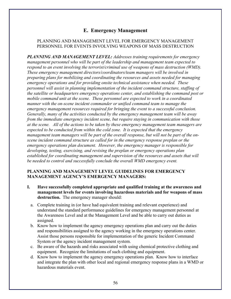## **E. Emergency Management**

#### PLANNING AND MANAGEMENT LEVEL FOR EMERGENCY MANAGEMENT PERSONNEL FOR EVENTS INVOLVING WEAPONS OF MASS DESTRUCTION

*PLANNING AND MANAGEMENT LEVEL: Addresses training requirements for emergency management personnel who will be part of the leadership and management team expected to respond to an event involving the terrorist/criminal use of weapons of mass destruction (WMD). These emergency management directors/coordinators/team managers will be involved in preparing plans for mobilizing and coordinating the resources and assets needed for managing emergency operations and for providing onsite technical assistance when needed. These personnel will assist in planning implementation of the incident command structure, staffing of the satellite or headquarters emergency operations center, and establishing the command post or mobile command unit at the scene. These personnel are expected to work in a coordinated manner with the on-scene incident commander or unified command team to manage the emergency management resources required for bringing the event to a successful conclusion. Generally, many of the activities conducted by the emergency management team will be away from the immediate emergency incident scene, but require staying in communication with those at the scene. All of the actions to be taken by these emergency management team managers are expected to be conducted from within the cold zone. It is expected that the emergency management team managers will be part of the overall response, but will not be part of the onscene incident command structure as called for in the emergency response preplan or the emergency operations plan document. However, the emergency manager is responsible for developing, testing, exercising, and revising the preplan or emergency operations plan established for coordinating management and supervision of the resources and assets that will be needed to control and successfully conclude the overall WMD emergency event.* 

#### **PLANNING AND MANAGEMENT LEVEL GUIDELINES FOR EMERGENCY MANAGEMENT AGENCY'S EMERGENCY MANAGERS:**

- **I. Have successfully completed appropriate and qualified training at the awareness and management levels for events involving hazardous materials and for weapons of mass destruction.** The emergency manager should:
	- a. Complete training in (or have had equivalent training and relevant experience) and understand the standard performance guidelines for emergency management personnel at the Awareness Level and at the Management Level and be able to carry out duties as assigned.
	- b. Know how to implement the agency emergency operations plan and carry out the duties and responsibilities assigned to the agency working in the emergency operations center. Assist those persons responsible for implementation of the generic Incident Command System or the agency incident management system.
	- c. Be aware of the hazards and risks associated with using chemical protective clothing and equipment. Recognize the limitations of such clothing and equipment.
	- d. Know how to implement the agency emergency operations plan. Know how to interface and integrate the plan with other local and regional emergency response plans in a WMD or hazardous materials event.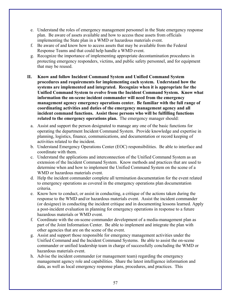- e. Understand the roles of emergency management personnel in the State emergency response plan. Be aware of assets available and how to access these assets from officials implementing the State plan in a WMD or hazardous materials event.
- f. Be aware of and know how to access assets that may be available from the Federal Response Teams and that could help handle a WMD event.
- g. Recognize the importance of implementing appropriate decontamination procedures in protecting emergency responders, victims, and public safety personnel, and for equipment that may be reused.
- **II. Know and follow Incident Command System and Unified Command System procedures and requirements for implementing each system. Understand how the systems are implemented and integrated. Recognize when it is appropriate for the Unified Command System to evolve from the Incident Command System. Know what information the on-scene incident commander will need from the emergency management agency emergency operations center. Be familiar with the full range of coordinating activities and duties of the emergency management agency and all incident command functions. Assist those persons who will be fulfilling functions related to the emergency operations plan.** The emergency manager should:
	- a. Assist and support the person designated to manage any one of the basic functions for operating the department Incident Command System. Provide knowledge and expertise in planning, logistics, finance, communications, and documentation or record keeping of activities related to the incident.
	- b. Understand Emergency Operations Center (EOC) responsibilities. Be able to interface and coordinate with them.
	- c. Understand the applications and interconnection of the Unified Command System as an extension of the Incident Command System. Know methods and practices that are used to determine when and how to implement the Unified Command System on the scene of a WMD or hazardous materials event.
	- d. Help the incident commander complete all termination documentation for the event related to emergency operations as covered in the emergency operations plan documentation criteria.
	- e. Know how to conduct, or assist in conducting, a critique of the actions taken during the response to the WMD and/or hazardous materials event. Assist the incident commander (or designee) in conducting the incident critique and in documenting lessons learned. Apply a post-incident evaluation in planning for emergency operations in response to a future hazardous materials or WMD event.
	- f. Coordinate with the on-scene commander development of a media-management plan as part of the Joint Information Center. Be able to implement and integrate the plan with other agencies that are on the scene of the event.
	- g. Assist and support those responsible for emergency management activities under the Unified Command and the Incident Command Systems. Be able to assist the on-scene commander or unified leadership team in charge of successfully concluding the WMD or hazardous materials event.
	- h. Advise the incident commander (or management team) regarding the emergency management agency role and capabilities. Share the latest intelligence information and data, as well as local emergency response plans, procedures, and practices. This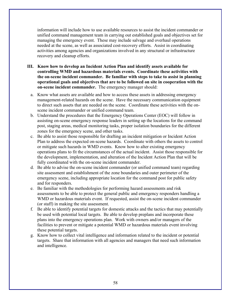information will include how to use available resources to assist the incident commander or unified command management team in carrying out established goals and objectives set for managing the emergency event. These may include salvage and overhaul operations needed at the scene, as well as associated cost-recovery efforts. Assist in coordinating activities among agencies and organizations involved in any structural or infrastructure recovery and cleanup efforts.

- **III. Know how to develop an Incident Action Plan and identify assets available for controlling WMD and hazardous materials events. Coordinate these activities with the on-scene incident commander. Be familiar with steps to take to assist in planning operational goals and objectives that are to be followed on site in cooperation with the on-scene incident commander.** The emergency manager should:
	- a. Know what assets are available and how to access these assets in addressing emergency management-related hazards on the scene. Have the necessary communication equipment to direct such assets that are needed on the scene. Coordinate these activities with the onscene incident commander or unified command team.
	- b. Understand the procedures that the Emergency Operations Center (EOC) will follow in assisting on-scene emergency response leaders in setting up the locations for the command post, staging areas, medical monitoring tasks, proper isolation boundaries for the different zones for the emergency scene, and other tasks.
	- c. Be able to assist those responsible for drafting an incident mitigation or Incident Action Plan to address the expected on-scene hazards. Coordinate with others the assets to control or mitigate such hazards in WMD events. Know how to alter existing emergency operations plans to fit the circumstances of the actual incident. Assist those responsible for the development, implementation, and alteration of the Incident Action Plan that will be fully coordinated with the on-scene incident commander.
	- d. Be able to advise the on-scene incident commander (or unified command team) regarding site assessment and establishment of the zone boundaries and outer perimeter of the emergency scene, including appropriate location for the command post for public safety and for responders.
	- e. Be familiar with the methodologies for performing hazard assessments and risk assessments to be able to protect the general public and emergency responders handling a WMD or hazardous materials event. If requested, assist the on-scene incident commander (or staff) in making the site assessment.
	- f. Be able to identify potential targets for domestic attacks and the tactics that may potentially be used with potential local targets. Be able to develop preplans and incorporate these plans into the emergency operations plan. Work with owners and/or managers of the facilities to prevent or mitigate a potential WMD or hazardous materials event involving these potential targets.
	- g. Know how to collect vital intelligence and information related to the incident or potential targets. Share that information with all agencies and managers that need such information and intelligence.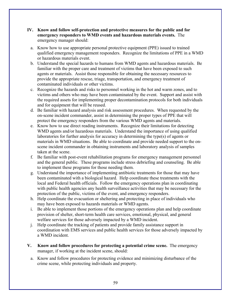- **IV. Know and follow self-protection and protective measures for the public and for emergency responders to WMD events and hazardous materials events.** The emergency manager should:
	- a. Know how to use appropriate personal protective equipment (PPE) issued to trained qualified emergency management responders. Recognize the limitations of PPE in a WMD or hazardous materials event.
	- b. Understand the special hazards to humans from WMD agents and hazardous materials. Be familiar with the proper care and treatment of victims that have been exposed to such agents or materials. Assist those responsible for obtaining the necessary resources to provide the appropriate rescue, triage, transportation, and emergency treatment of contaminated individuals or other victims.
	- c. Recognize the hazards and risks to personnel working in the hot and warm zones, and to victims and others who may have been contaminated by the event. Support and assist with the required assets for implementing proper decontamination protocols for both individuals and for equipment that will be reused.
	- d. Be familiar with hazard analysis and risk assessment procedures. When requested by the on-scene incident commander, assist in determining the proper types of PPE that will protect the emergency responders from the various WMD agents and materials.
	- e. Know how to use direct reading instruments. Recognize their limitations for detecting WMD agents and/or hazardous materials. Understand the importance of using qualified laboratories for further analysis for accuracy in determining the type(s) of agents or materials in WMD situations. Be able to coordinate and provide needed support to the onscene incident commander in obtaining instruments and laboratory analysis of samples taken at the scene.
	- f. Be familiar with post-event rehabilitation programs for emergency management personnel and the general public. These programs include stress debriefing and counseling. Be able to implement these programs for those needing them.
	- g. Understand the importance of implementing antibiotic treatments for those that may have been contaminated with a biological hazard. Help coordinate these treatments with the local and Federal health officials. Follow the emergency operations plan in coordinating with public health agencies any health surveillance activities that may be necessary for the protection of the public, victims of the event, and emergency responders.
	- h. Help coordinate the evacuation or sheltering and protecting in place of individuals who may have been exposed to hazards materials or WMD agents.
	- i. Be able to implement those portions of the emergency operations plan and help coordinate provision of shelter, short-term health care services, emotional, physical, and general welfare services for those adversely impacted by a WMD incident.
	- j. Help coordinate the tracking of patients and provide family assistance support in coordination with EMS services and public health services for those adversely impacted by a WMD incident.
- **V. Know and follow procedures for protecting a potential crime scene.** The emergency manager, if working at the incident scene, should:
	- a. Know and follow procedures for protecting evidence and minimizing disturbance of the crime scene, while protecting individuals and property.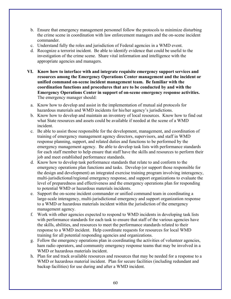- b. Ensure that emergency management personnel follow the protocols to minimize disturbing the crime scene in coordination with law enforcement managers and the on-scene incident commander.
- c. Understand fully the roles and jurisdiction of Federal agencies in a WMD event.
- d. Recognize a terrorist incident. Be able to identify evidence that could be useful to the investigation of the crime scene. Share vital information and intelligence with the appropriate agencies and managers.
- **VI. Know how to interface with and integrate requisite emergency support services and resources among the Emergency Operations Center management and the incident or unified command on-scene incident management team. Be familiar with the coordination functions and procedures that are to be conducted by and with the Emergency Operations Center in support of on-scene emergency response activities.**  The emergency manager should:
	- a. Know how to develop and assist in the implementation of mutual aid protocols for hazardous materials and WMD incidents for his/her agency's jurisdictions.
	- b. Know how to develop and maintain an inventory of local resources. Know how to find out what State resources and assets could be available if needed at the scene of a WMD incident.
	- c. Be able to assist those responsible for the development, management, and coordination of training of emergency management agency directors, supervisors, and staff in WMD response planning, support, and related duties and functions to be performed by the emergency management agency. Be able to develop task lists with performance standards for each staff member to help ensure that staff have the skills and resources to perform their job and meet established performance standards.
	- d. Know how to develop task performance standards that relate to and conform to the emergency operations plan functions and tasks. Develop (or support those responsible for the design and development) an integrated exercise training program involving interagency, multi-jurisdictional/regional emergency response, and support organizations to evaluate the level of preparedness and effectiveness and the emergency operations plan for responding to potential WMD or hazardous materials incidents.
	- e. Support the on-scene incident commander or unified command team in coordinating a large-scale interagency, multi-jurisdictional emergency and support organization response to a WMD or hazardous materials incident within the jurisdiction of the emergency management agency.
	- f. Work with other agencies expected to respond to WMD incidents in developing task lists with performance standards for each task to ensure that staff of the various agencies have the skills, abilities, and resources to meet the performance standards related to their response to a WMD incident. Help coordinate requests for resources for local WMD training for all potential responding agencies and organizations.
	- g. Follow the emergency operations plan in coordinating the activities of volunteer agencies, ham radio operators, and community emergency response teams that may be involved in a WMD or hazardous materials incident.
	- h. Plan for and track available resources and resources that may be needed for a response to a WMD or hazardous material incident. Plan for secure facilities (including redundant and backup facilities) for use during and after a WMD incident.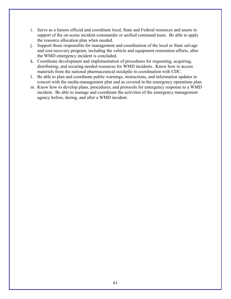- i. Serve as a liaison official and coordinate local, State and Federal resources and assets in support of the on-scene incident commander or unified command team. Be able to apply the resource allocation plan when needed.
- j. Support those responsible for management and coordination of the local or State salvage and cost-recovery program, including the vehicle and equipment restoration efforts, after the WMD emergency incident is concluded.
- k. Coordinate development and implementation of procedures for requesting, acquiring, distributing, and securing needed resources for WMD incidents. Know how to access materials from the national pharmaceutical stockpile in coordination with CDC.
- l. Be able to plan and coordinate public warnings, instructions, and information updates in concert with the media-management plan and as covered in the emergency operations plan.
- m. Know how to develop plans, procedures, and protocols for emergency response to a WMD incident. Be able to manage and coordinate the activities of the emergency management agency before, during, and after a WMD incident.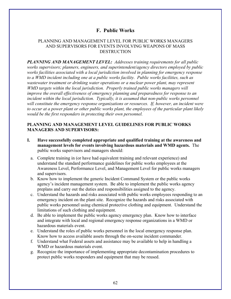### **F. Public Works**

#### PLANNING AND MANAGEMENT LEVEL FOR PUBLIC WORKS MANAGERS AND SUPERVISORS FOR EVENTS INVOLVING WEAPONS OF MASS DESTRUCTION

*PLANNING AND MANAGEMENT LEVEL: Addresses training requirements for all public works supervisors; planners, engineers, and superintendent/agency directors employed by public works facilities associated with a local jurisdiction involved in planning for emergency response to a WMD incident including one at a public works facility. Public works facilities, such as wastewater treatment or drinking water operations or a nuclear power plant, may represent WMD targets within the local jurisdiction. Properly trained public works managers will improve the overall effectiveness of emergency planning and preparedness for response to an incident within the local jurisdiction. Typically, it is assumed that non-public works personnel will constitute the emergency response organizations or resources. If, however, an incident were to occur at a power plant or other public works plant, the employees of the particular plant likely would be the first responders in protecting their own personnel.* 

#### **PLANNING AND MANAGEMENT LEVEL GUIDELINES FOR PUBLIC WORKS MANAGERS AND SUPERVISORS:**

- **I. Have successfully completed appropriate and qualified training at the awareness and management levels for events involving hazardous materials and WMD agents.** The public works supervisors and managers should:
	- a. Complete training in (or have had equivalent training and relevant experience) and understand the standard performance guidelines for public works employees at the Awareness Level, Performance Level, and Management Level for public works managers and supervisors.
	- b. Know how to implement the generic Incident Command System or the public works agency's incident management system. Be able to implement the public works agency preplans and carry out the duties and responsibilities assigned to the agency.
	- c. Understand the hazards and risks associated with public works employees responding to an emergency incident on the plant site. Recognize the hazards and risks associated with public works personnel using chemical protective clothing and equipment. Understand the limitations of such clothing and equipment.
	- d. Be able to implement the public works agency emergency plan. Know how to interface and integrate with local and regional emergency response organizations in a WMD or hazardous materials event.
	- e. Understand the roles of public works personnel in the local emergency response plan. Know how to access available assets through the on-scene incident commander.
	- f. Understand what Federal assets and assistance may be available to help in handling a WMD or hazardous materials event.
	- g. Recognize the importance of implementing appropriate decontamination procedures to protect public works responders and equipment that may be reused.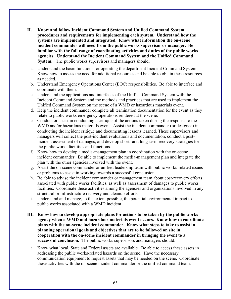- **II. Know and follow Incident Command System and Unified Command System procedures and requirements for implementing each system. Understand how the systems are implemented and integrated. Know what information the on-scene incident commander will need from the public works supervisor or manager. Be familiar with the full range of coordinating activities and duties of the public works agencies. Understand the Incident Command System and the Unified Command System.** The public works supervisors and managers should:
	- a. Understand the basic functions for operating the department Incident Command System. Know how to assess the need for additional resources and be able to obtain these resources as needed.
	- b. Understand Emergency Operations Center (EOC) responsibilities. Be able to interface and coordinate with them.
	- c. Understand the applications and interfaces of the Unified Command System with the Incident Command System and the methods and practices that are used to implement the Unified Command System on the scene of a WMD or hazardous materials event.
	- d. Help the incident commander complete all termination documentation for the event as they relate to public works emergency operations rendered at the scene.
	- e. Conduct or assist in conducting a critique of the actions taken during the response to the WMD and/or hazardous materials event. Assist the incident commander (or designee) in conducting the incident critique and documenting lessons learned. These supervisors and managers will collect the post-incident evaluations and documentation, conduct a postincident assessment of damages, and develop short- and long-term recovery strategies for the public works facilities and functions.
	- f. Know how to develop a media-management plan in coordination with the on-scene incident commander. Be able to implement the media-management plan and integrate the plan with the other agencies involved with the event.
	- g. Assist the on-scene commander or unified leadership team with public works-related issues or problems to assist in working towards a successful conclusion.
	- h. Be able to advise the incident commander or management team about cost-recovery efforts associated with public works facilities, as well as assessment of damages to public works facilities. Coordinate these activities among the agencies and organizations involved in any structural or infrastructure recovery and cleanup efforts.
	- i. Understand and manage, to the extent possible, the potential environmental impact to public works associated with a WMD incident.
- **III. Know how to develop appropriate plans for actions to be taken by the public works agency when a WMD and hazardous materials event occurs. Know how to coordinate plans with the on-scene incident commander. Know what steps to take to assist in planning operational goals and objectives that are to be followed on site in cooperation with the on-scene incident commander in bringing the event to a successful conclusion.** The public works supervisors and managers should:
	- a. Know what local, State and Federal assets are available. Be able to access these assets in addressing the public works-related hazards on the scene. Have the necessary communication equipment to request assets that may be needed on the scene. Coordinate these activities with the on-scene incident commander or the unified command team.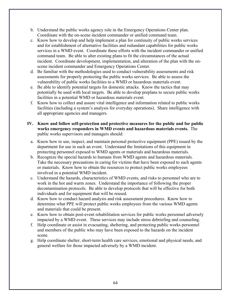- b. Understand the public works agency role in the Emergency Operations Center plan. Coordinate with the on-scene incident commander or unified command team.
- c. Know how to develop and help implement a plan for continuity of public works services and for establishment of alternative facilities and redundant capabilities for public works services in a WMD event. Coordinate these efforts with the incident commander or unified command team. Be able to alter existing plans to fit the circumstances of the actual incident. Coordinate development, implementation, and alteration of the plan with the onscene incident commander and Emergency Operations Center.
- d. Be familiar with the methodologies used to conduct vulnerability assessments and risk assessments for properly protecting the public works services. Be able to assess the vulnerability of public works facilities to a WMD or hazardous materials event.
- e. Be able to identify potential targets for domestic attacks. Know the tactics that may potentially be used with local targets. Be able to develop preplans to secure public works facilities in a potential WMD or hazardous materials event.
- f. Know how to collect and assure vital intelligence and information related to public works facilities (including a system's analysis for everyday operations). Share intelligence with all appropriate agencies and managers.
- **IV. Know and follow self-protection and protective measures for the public and for public works emergency responders in WMD events and hazardous materials events.** The public works supervisors and managers should:
	- a. Know how to use, inspect, and maintain personal protective equipment (PPE) issued by the department for use in such an event. Understand the limitations of this equipment in protecting personnel exposed to WMD agents or materials and hazardous materials.
	- b. Recognize the special hazards to humans from WMD agents and hazardous materials. Take the necessary precautions in caring for victims that have been exposed to such agents or materials. Know how to obtain the resources to protect public works employees involved in a potential WMD incident.
	- c. Understand the hazards, characteristics of WMD events, and risks to personnel who are to work in the hot and warm zones. Understand the importance of following the proper decontamination protocols. Be able to develop protocols that will be effective for both individuals and for equipment that will be reused.
	- d. Know how to conduct hazard analysis and risk assessment procedures. Know how to determine what PPE will protect public works employees from the various WMD agents and materials that could be present.
	- e. Know how to obtain post-event rehabilitation services for public works personnel adversely impacted by a WMD event. These services may include stress debriefing and counseling.
	- f. Help coordinate or assist in evacuating, sheltering, and protecting public works personnel and members of the public who may have been exposed to the hazards on the incident scene.
	- g. Help coordinate shelter, short-term health care services, emotional and physical needs, and general welfare for those impacted adversely by a WMD incident.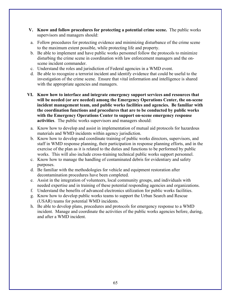- **V. Know and follow procedures for protecting a potential crime scene.** The public works supervisors and managers should:
- a. Follow procedures for protecting evidence and minimizing disturbance of the crime scene to the maximum extent possible, while protecting life and property.
- b. Be able to implement and have public works personnel follow the protocols to minimize disturbing the crime scene in coordination with law enforcement managers and the onscene incident commander.
- c. Understand the roles and jurisdiction of Federal agencies in a WMD event.
- d. Be able to recognize a terrorist incident and identify evidence that could be useful to the investigation of the crime scene. Ensure that vital information and intelligence is shared with the appropriate agencies and managers.
- **VI. Know how to interface and integrate emergency support services and resources that will be needed (or are needed) among the Emergency Operations Center, the on-scene incident management team, and public works facilities and agencies. Be familiar with the coordination functions and procedures that are to be conducted by public works with the Emergency Operations Center to support on-scene emergency response activities**. The public works supervisors and managers should:
	- a. Know how to develop and assist in implementation of mutual aid protocols for hazardous materials and WMD incidents within agency jurisdiction.
	- b. Know how to develop and coordinate training of public works directors, supervisors, and staff in WMD response planning, their participation in response planning efforts, and in the exercise of the plan as it is related to the duties and functions to be performed by public works. This will also include cross-training technical public works support personnel.
	- c. Know how to manage the handling of contaminated debris for evidentiary and safety purposes.
	- d. Be familiar with the methodologies for vehicle and equipment restoration after decontamination procedures have been completed.
	- e. Assist in the integration of volunteers, local community groups, and individuals with needed expertise and in training of these potential responding agencies and organizations.
	- f. Understand the benefits of advanced electronics utilization for public works facilities.
	- g. Know how to develop public works teams to support the Urban Search and Rescue (USAR) teams for potential WMD incidents.
	- h. Be able to develop plans, procedures and protocols for emergency response to a WMD incident. Manage and coordinate the activities of the public works agencies before, during, and after a WMD incident.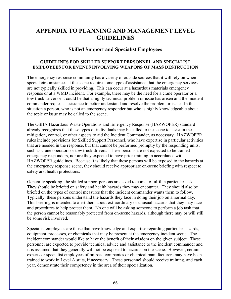# **APPENDIX TO PLANNING AND MANAGEMENT LEVEL GUIDELINES**

### **Skilled Support and Specialist Employees**

#### **GUIDELINES FOR SKILLED SUPPORT PERSONNEL AND SPECIALIST EMPLOYEES FOR EVENTS INVOLVING WEAPONS OF MASS DESTRUCTION**

The emergency response community has a variety of outside sources that it will rely on when special circumstances at the scene require some type of assistance that the emergency services are not typically skilled in providing. This can occur at a hazardous materials emergency response or at a WMD incident. For example, there may be the need for a crane operator or a tow truck driver or it could be that a highly technical problem or issue has arisen and the incident commander requests assistance to better understand and resolve the problem or issue. In this situation a person, who is not an emergency responder but who is highly knowledgeable about the topic or issue may be called to the scene.

The OSHA Hazardous Waste Operations and Emergency Response (HAZWOPER) standard already recognizes that these types of individuals may be called to the scene to assist in the mitigation, control, or other aspects to aid the Incident Commander, as necessary. HAZWOPER rules include provisions for Skilled Support Personnel, who have expertise in particular activities that are needed in the response, but that cannot be performed promptly by the responding units, such as crane operators or tow truck drivers. These persons are not expected to be trained emergency responders, nor are they expected to have prior training in accordance with HAZWOPER guidelines. Because it is likely that these persons will be exposed to the hazards at the emergency response scene, they should receive appropriate on-scene briefing with respect to safety and health protections.

Generally speaking, the skilled support persons are asked to come to fulfill a particular task. They should be briefed on safety and health hazards they may encounter. They should also be briefed on the types of control measures that the incident commander wants them to follow. Typically, these persons understand the hazards they face in doing their job on a normal day. This briefing is intended to alert them about extraordinary or unusual hazards that they may face and procedures to help protect them. No one will be asking someone to perform a job task that the person cannot be reasonably protected from on-scene hazards, although there may or will still be some risk involved.

Specialist employees are those that have knowledge and expertise regarding particular hazards, equipment, processes, or chemicals that may be present at the emergency incident scene. The incident commander would like to have the benefit of their wisdom on the given subject. These personnel are expected to provide technical advice and assistance to the incident commander and it is assumed that they generally will not be exposed to hazards on the scene. However, certain experts or specialist employees of railroad companies or chemical manufacturers may have been trained to work in Level A suits, if necessary. These personnel should receive training, and each year, demonstrate their competency in the area of their specialization.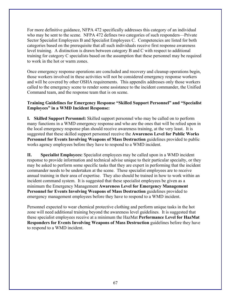For more definitive guidance, NFPA 472 specifically addresses this category of an individual who may be sent to the scene. NFPA 472 defines two categories of such responders—Private Sector Specialist Employees B and Specialist Employees C. Competencies are listed for both categories based on the prerequisite that all such individuals receive first response awareness level training. A distinction is drawn between category B and C with respect to additional training for category C specialists based on the assumption that these personnel may be required to work in the hot or warm zones.

Once emergency response operations are concluded and recovery and cleanup operations begin, those workers involved in these activities will not be considered emergency response workers and will be covered by other OSHA requirements. This appendix addresses only those workers called to the emergency scene to render some assistance to the incident commander, the Unified Command team, and the response team that is on scene.

#### **Training Guidelines for Emergency Response "Skilled Support Personnel" and "Specialist Employees" in a WMD Incident Response:**

**I. Skilled Support Personnel:** Skilled support personnel who may be called on to perform many functions in a WMD emergency response and who are the ones that will be relied upon in the local emergency response plan should receive awareness training, at the very least. It is suggested that these skilled support personnel receive the **Awareness Level for Public Works Personnel for Events Involving Weapons of Mass Destruction** guidelines provided to public works agency employees before they have to respond to a WMD incident.

**II. Specialist Employees:** Specialist employees may be called upon in a WMD incident response to provide information and technical advise unique to their particular specialty, or they may be asked to perform some specific tasks that they are expert in performing that the incident commander needs to be undertaken at the scene. These specialist employees are to receive annual training in their area of expertise. They also should be trained in how to work within an incident command system. It is suggested that these specialist employees be given as a minimum the Emergency Management **Awareness Level for Emergency Management Personnel for Events Involving Weapons of Mass Destruction** guidelines provided to emergency management employees before they have to respond to a WMD incident.

Personnel expected to wear chemical protective clothing and perform unique tasks in the hot zone will need additional training beyond the awareness level guidelines. It is suggested that these specialist employees receive at a minimum the HazMat **Performance Level for HazMat Responders for Events Involving Weapons of Mass Destruction** guidelines before they have to respond to a WMD incident.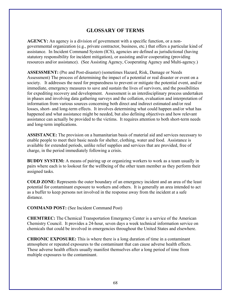## **GLOSSARY OF TERMS**

**AGENCY:** An agency is a division of government with a specific function, or a nongovernmental organization (e.g., private contractor, business, etc.) that offers a particular kind of assistance. In Incident Command System (ICS), agencies are defined as jurisdictional (having statutory responsibility for incident mitigation), or assisting and/or cooperating (providing resources and/or assistance). (See Assisting Agency, Cooperating Agency and Multi-agency.)

**ASSESSMENT:** (Pre and Post-disaster) (sometimes Hazard, Risk, Damage or Needs Assessment) The process of determining the impact of a potential or real disaster or event on a society. It addresses the need for preparedness to prevent or mitigate the potential event, and/or immediate, emergency measures to save and sustain the lives of survivors, and the possibilities for expediting recovery and development. Assessment is an interdisciplinary process undertaken in phases and involving data gathering surveys and the collation, evaluation and interpretation of information from various sources concerning both direct and indirect estimated and/or real losses, short- and long-term effects. It involves determining what could happen and/or what has happened and what assistance might be needed, but also defining objectives and how relevant assistance can actually be provided to the victims. It requires attention to both short-term needs and long-term implications.

**ASSISTANCE:** The provision on a humanitarian basis of material aid and services necessary to enable people to meet their basic needs for shelter, clothing, water and food. Assistance is available for extended periods, unlike relief supplies and services that are provided, free of charge, in the period immediately following a crisis.

**BUDDY SYSTEM:** A means of pairing up or organizing workers to work as a team usually in pairs where each is to lookout for the wellbeing of the other team member as they perform their assigned tasks.

**COLD ZONE:** Represents the outer boundary of an emergency incident and an area of the least potential for contaminant exposure to workers and others. It is generally an area intended to act as a buffer to keep persons not involved in the response away from the incident at a safe distance.

**COMMAND POST:** (See Incident Command Post)

**CHEMTREC:** The Chemical Transportation Emergency Center is a service of the American Chemistry Council. It provides a 24-hour, seven days a week technical information service on chemicals that could be involved in emergencies throughout the United States and elsewhere.

**CHRONIC EXPOSURE:** This is where there is a long duration of time in a contaminant atmosphere or repeated exposures to the contaminant that can cause adverse health effects. These adverse health effects usually manifest themselves after a long period of time from multiple exposures to the contaminant.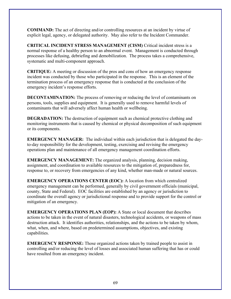**COMMAND:** The act of directing and/or controlling resources at an incident by virtue of explicit legal, agency, or delegated authority. May also refer to the Incident Commander.

**CRITICAL INCIDENT STRESS MANAGEMENT (CISM)** Critical incident stress is a normal response of a healthy person to an abnormal event. Management is conducted through processes like defusing, debriefing and demobilization. The process takes a comprehensive, systematic and multi-component approach.

**CRITIQUE:** A meeting or discussion of the pros and cons of how an emergency response incident was conducted by those who participated in the response. This is an element of the termination process of an emergency response that is conducted at the conclusion of the emergency incident's response efforts.

**DECONTAMINATION:** The process of removing or reducing the level of contaminants on persons, tools, supplies and equipment. It is generally used to remove harmful levels of contaminants that will adversely affect human health or wellbeing.

**DEGRADATION:** The destruction of equipment such as chemical protective clothing and monitoring instruments that is caused by chemical or physical decomposition of such equipment or its components.

**EMERGENCY MANAGER:** The individual within each jurisdiction that is delegated the dayto-day responsibility for the development, testing, exercising and revising the emergency operations plan and maintenance of all emergency management coordination efforts.

**EMERGENCY MANAGEMENT:** The organized analysis, planning, decision making, assignment, and coordination to available resources to the mitigation of, preparedness for, response to, or recovery from emergencies of any kind, whether man-made or natural sources.

**EMERGENCY OPERATIONS CENTER (EOC):** A location from which centralized emergency management can be performed, generally by civil government officials (municipal, county, State and Federal). EOC facilities are established by an agency or jurisdiction to coordinate the overall agency or jurisdictional response and to provide support for the control or mitigation of an emergency.

**EMERGENCY OPERATIONS PLAN (EOP):** A State or local document that describes actions to be taken in the event of natural disasters, technological accidents, or weapons of mass destruction attack. It identifies authorities, relationships, and the actions to be taken by whom, what, when, and where, based on predetermined assumptions, objectives, and existing capabilities.

**EMERGENCY RESPONSE:** Those organized actions taken by trained people to assist in controlling and/or reducing the level of losses and associated human suffering that has or could have resulted from an emergency incident.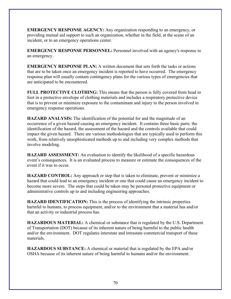**EMERGENCY RESPONSE AGENCY:** Any organization responding to an emergency, or providing mutual aid support to such an organization, whether in the field, at the scene of an incident, or to an emergency operations center.

**EMERGENCY RESPONSE PERSONNEL:** Personnel involved with an agency's response to an emergency.

**EMERGENCY RESPONSE PLAN:** A written document that sets forth the tasks or actions that are to be taken once an emergency incident is reported to have occurred. The emergency response plan will usually contain contingency plans for the various types of emergencies that are anticipated to be encountered.

**FULL PROTECTIVE CLOTHING:** This means that the person is fully covered from head to foot in a protective envelope of clothing materials and includes a respiratory protective device that is to prevent or minimize exposure to the contaminant and injury to the person involved in emergency response operations.

**HAZARD ANALYSIS:** The identification of the potential for and the magnitude of an occurrence of a given hazard causing an emergency incident. It contains three basic parts: the identification of the hazard, the assessment of the hazard and the controls available that could impact the given hazard. There are various methodologies that are typically used to perform this work, from relatively unsophisticated methods up to and including very complex methods that involve modeling.

**HAZARD ASSESSMENT:** An evaluation to identify the likelihood of a specific hazardous event's consequences. It is an evaluated process to measure or estimate the consequences of the event if it was to occur.

**HAZARD CONTROL:** Any approach or step that is taken to eliminate, prevent or minimize a hazard that could lead to an emergency incident or one that could cause an emergency incident to become more severe. The steps that could be taken may be personal protective equipment or administrative controls up to and including engineering approaches.

**HAZARD IDENTIFICATION:** This is the process of identifying the intrinsic properties harmful to humans, to process equipment, and/or to the environment that a material has and/or that an activity or industrial process has.

**HAZARDOUS MATERIAL:** A chemical or substance that is regulated by the U.S. Department of Transportation (DOT) because of its inherent nature of being harmful to the public health and/or the environment. DOT regulates interstate and intrastate commercial transport of these materials.

**HAZARDOUS SUBSTANCE:** A chemical or material that is regulated by the EPA and/or OSHA because of its inherent nature of being harmful to humans and/or the environment.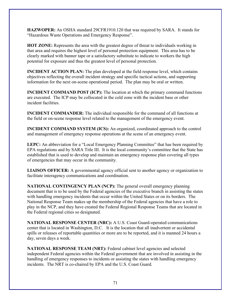**HAZWOPER:** An OSHA standard 29CFR1910.120 that was required by SARA. It stands for "Hazardous Waste Operations and Emergency Response".

**HOT ZONE:** Represents the area with the greatest degree of threat to individuals working in that area and requires the highest level of personal protection equipment. This area has to be clearly marked with banner tape or a satisfactory substitute to indicate to workers the high potential for exposure and thus the greatest level of personal protection.

**INCIDENT ACTION PLAN:** The plan developed at the field response level, which contains objectives reflecting the overall incident strategy and specific tactical actions, and supporting information for the next on-scene operational period. The plan may be oral or written.

**INCIDENT COMMAND POST (ICP):** The location at which the primary command functions are executed. The ICP may be collocated in the cold zone with the incident base or other incident facilities.

**INCIDENT COMMANDER:** The individual responsible for the command of all functions at the field or on-scene response level related to the management of the emergency event.

**INCIDENT COMMAND SYSTEM (ICS):** An organized, coordinated approach to the control and management of emergency response operations at the scene of an emergency event.

LEPC: An abbreviation for a "Local Emergency Planning Committee" that has been required by EPA regulations and by SARA Title III. It is the local community's committee that the State has established that is used to develop and maintain an emergency response plan covering all types of emergencies that may occur in the community.

**LIAISON OFFICER:** A governmental agency official sent to another agency or organization to facilitate interagency communications and coordination.

**NATIONAL CONTINGENCY PLAN (NCP):** The general overall emergency planning document that is to be used by the Federal agencies of the executive branch in assisting the states with handling emergency incidents that occur within the United States or on its borders. The National Response Team makes up the membership of the Federal agencies that have a role to play in the NCP, and they have created the Federal Regional Response Teams that are located in the Federal regional cities so designated.

**NATIONAL RESPONSE CENTER (NRC):** A U.S. Coast Guard-operated communications center that is located in Washington, D.C. It is the location that all inadvertent or accidental spills or releases of reportable quantities or more are to be reported, and it is manned 24 hours a day, seven days a week.

**NATIONAL RESPONSE TEAM (NRT):** Federal cabinet level agencies and selected independent Federal agencies within the Federal government that are involved in assisting in the handling of emergency responses to incidents or assisting the states with handling emergency incidents. The NRT is co-chaired by EPA and the U.S. Coast Guard.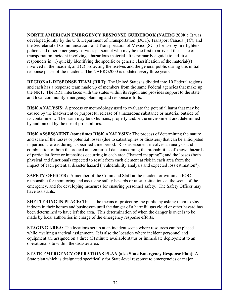**NORTH AMERICAN EMERGENCY RESPONSE GUIDEBOOK (NAERG 2000):** It was developed jointly by the U.S. Department of Transportation (DOT), Transport Canada (TC), and the Secretariat of Communications and Transportation of Mexico (SCT) for use by fire fighters, police, and other emergency services personnel who may be the first to arrive at the scene of a transportation incident involving a hazardous material. It is primarily a guide to aid first responders in (1) quickly identifying the specific or generic classification of the material(s) involved in the incident, and (2) protecting themselves and the general public during this initial response phase of the incident. The NAERG2000 is updated every three years.

**REGIONAL RESPONSE TEAM (RRT):** The United States is divided into 10 Federal regions and each has a response team made up of members from the same Federal agencies that make up the NRT. The RRT interfaces with the states within its region and provides support to the state and local community emergency planning and response efforts.

**RISK ANALYSIS:** A process or methodology used to evaluate the potential harm that may be caused by the inadvertent or purposeful release of a hazardous substance or material outside of its containment. The harm may be to humans, property and/or the environment and determined by and ranked by the use of probabilities.

**RISK ASSESSMENT (sometimes RISK ANALYSIS):** The process of determining the nature and scale of the losses or potential losses (due to catastrophes or disasters) that can be anticipated in particular areas during a specified time period. Risk assessment involves an analysis and combination of both theoretical and empirical data concerning the probabilities of known hazards of particular force or intensities occurring in each area ("hazard mapping"); and the losses (both physical and functional) expected to result from each element at risk in each area from the impact of each potential disaster hazard ("vulnerability analysis and expected loss estimation").

**SAFETY OFFICER:** A member of the Command Staff at the incident or within an EOC responsible for monitoring and assessing safety hazards or unsafe situations at the scene of the emergency, and for developing measures for ensuring personnel safety. The Safety Officer may have assistants.

**SHELTERING IN PLACE:** This is the means of protecting the public by asking them to stay indoors in their homes and businesses until the danger of a harmful gas cloud or other hazard has been determined to have left the area. This determination of when the danger is over is to be made by local authorities in charge of the emergency response efforts.

**STAGING AREA:** The locations set up at an incident scene where resources can be placed while awaiting a tactical assignment. It is also the location where incident personnel and equipment are assigned on a three (3) minute available status or immediate deployment to an operational site within the disaster area.

**STATE EMERGENCY OPERATIONS PLAN (also State Emergency Response Plan):** A State plan which is designated specifically for State-level response to emergencies or major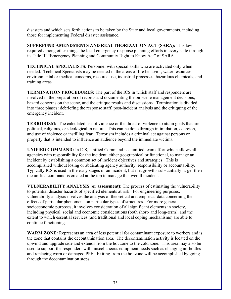disasters and which sets forth actions to be taken by the State and local governments, including those for implementing Federal disaster assistance.

**SUPERFUND AMENDMENTS AND REAUTHORIZATION ACT (SARA):** This law required among other things the local emergency response planning efforts in every state through its Title III "Emergency Planning and Community Right to Know Act" of SARA.

**TECHNICAL SPECIALISTS:** Personnel with special skills who are activated only when needed. Technical Specialists may be needed in the areas of fire behavior, water resources, environmental or medical concerns, resource use, industrial processes, hazardous chemicals, and training areas.

**TERMINATION PROCEDURES:** The part of the ICS in which staff and responders are involved in the preparation of records and documenting the on-scene management decisions, hazard concerns on the scene, and the critique results and discussions. Termination is divided into three phases: debriefing the response staff, post-incident analysis and the critiquing of the emergency incident.

**TERRORISM:** The calculated use of violence or the threat of violence to attain goals that are political, religious, or ideological in nature. This can be done through intimidation, coercion, and use of violence or instilling fear. Terrorism includes a criminal act against persons or property that is intended to influence an audience beyond the immediate victims.

**UNIFIED COMMAND:** In ICS, Unified Command is a unified team effort which allows all agencies with responsibility for the incident, either geographical or functional, to manage an incident by establishing a common set of incident objectives and strategies. This is accomplished without losing or abdicating agency authority, responsibility or accountability. Typically ICS is used in the early stages of an incident, but if it growths substantially larger then the unified command is created at the top to manage the overall incident.

**VULNERABILITY ANALYSIS (or assessment):** The process of estimating the vulnerability to potential disaster hazards of specified elements at risk. For engineering purposes, vulnerability analysis involves the analysis of theoretical and empirical data concerning the effects of particular phenomena on particular types of structures. For more general socioeconomic purposes, it involves consideration of all significant elements in society, including physical, social and economic considerations (both short- and long-term), and the extent to which essential services (and traditional and local coping mechanisms) are able to continue functioning.

**WARM ZONE:** Represents an area of less potential for contaminant exposure to workers and is the zone that contains the decontamination area. The decontamination activity is located on the upwind and upgrade side and extends from the hot zone to the cold zone. This area may also be used to support the responders with miscellaneous equipment needs such as changing air bottles and replacing worn or damaged PPE. Exiting from the hot zone will be accomplished by going through the decontamination steps.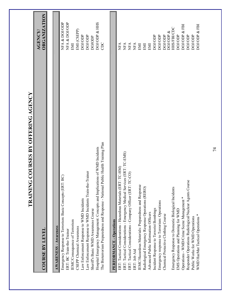| TRAINING COURSES BY OFFERING AGENCY                                               |                                          |
|-----------------------------------------------------------------------------------|------------------------------------------|
| <b>COURSE BY LEVEL</b>                                                            | <b>ORGANIZATION</b><br><b>AGENCY</b>     |
|                                                                                   |                                          |
| <b>AWARENESS - Awareness</b>                                                      |                                          |
| Emergency Response to Terrorism: Basic Concepts (ERT: BC)                         | NFA & DOJ/ODP                            |
| ERT: BC Train-the-Trainer                                                         | NFA & DOJ/ODP                            |
| IEMC/Consequence of Terrorism                                                     | EMI                                      |
| CSEPP Chemical Awareness                                                          | EMI (CSEPP)                              |
| Law Enforcement Response to WMD Incidents                                         | <b>DOJ/ODP</b>                           |
| Law Enforcement Response to WMD Incidents Train-the-Trainer                       | <b>DOJ/ODP</b>                           |
| Sheriff's Basic WMD Awareness Course                                              | <b>DOJODP</b>                            |
| of WMD Incidents<br>Hospital Emergency Management: Concepts and Implications      | DOJ/ODP & HHS                            |
| The Bioterrorism Preparedness and Response - National Public Health Training Plan | CDC                                      |
|                                                                                   |                                          |
| PERFORMANCE - Operations                                                          |                                          |
| ERT: Tactical Considerations - Hazardous Materials (ERT: TC-HM)                   | <b>NHA</b>                               |
| (ERT: TC-EMS)<br>ERT: Tactical Considerations - Emergency Medical Services        | NFA                                      |
| ERT: Tactical Considerations - Company Officer (ERT: TC-CO)                       | NFA                                      |
| ERT: Job Aid                                                                      | NFA                                      |
| IEMC/Hazardous Materials: Preparedness and Response                               | EMI                                      |
| Radiological Emergency Response Operations (RERO)                                 | EMI                                      |
| Advanced Public Information Officers                                              | EMI                                      |
| Incident Response to Terrorist Bombings                                           | <b>DOJ/ODP</b>                           |
| Emergency response to Terrorism: Operations                                       | <b>DOJ/ODP</b>                           |
| Chemical Protective Clothing Course                                               | <b>DOJ/ODP</b>                           |
|                                                                                   | <b>HHS/FBI/CDC</b><br>$D O J / O D P \&$ |
| Emergency Response to Domestic Biological Incidents                               |                                          |
| EMS Operations and Planning for WMD                                               | <b>POJ/ODP</b>                           |
| Operations - WMD/Crime Scene Management *                                         | DOJ/ODP & FB                             |
| Responder Operations Radiological/Nuclear Agents Course                           | <b>DOJ/ODP</b>                           |
| Public Works for WMD Operations                                                   | <b>DOJ/ODP</b>                           |
| WMD HazMat Tactical Operations *                                                  | DOJ/ODP & FBI                            |
|                                                                                   |                                          |
| 74                                                                                |                                          |
|                                                                                   |                                          |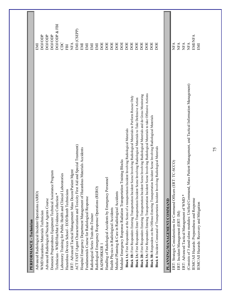| PERFORMANCE - Technician                                                                                                     |                 |
|------------------------------------------------------------------------------------------------------------------------------|-----------------|
| Advanced Radiological Incident Operations (ARIO)                                                                             | EMI             |
| WMD Hazardous Materials Technician                                                                                           | <b>ACIO/COD</b> |
| Advanced Radiological/Nuclear Agents Course                                                                                  | <b>POJ/ODP</b>  |
| Domestic Preparedness Equipment Technical Assistance Program                                                                 | <b>DOJ/ODP</b>  |
| Technician - WMD/HazMat Evidence Collection *                                                                                | DOJ/ODP & FBI   |
| Laboratory Training for Public Health and Clinical Laboratories                                                              | CDC             |
| Hazardous Devices School - EOD/Bomb Technicians                                                                              | FBI             |
| ERT: Advanced Tactical Management: Mass Decon/Patient Mgmt                                                                   | <b>NHA</b>      |
| ACT FAST (Agent Characterization and Toxicity First Aid and Special Treatment)                                               | EMI (CSEPP)     |
| Hospital Emergency Department Management of Hazardous Materials Accidents                                                    | EMI             |
| Fundamentals Course for Radiological Response                                                                                | EMI             |
| Radiological Series Train-the-Trainer                                                                                        | EMI             |
| Radiological Emergency Response Operations (RERO)                                                                            | EMI             |
| RADWORKER 1                                                                                                                  | DOE             |
| $\overline{\mathbf{e}}$<br>Handling of Radiological Accidents by Emergency Personn                                           | DOE             |
| Health Physics in Radiological Accidents                                                                                     | DOE             |
| Medical Planning & Care in Radiological Accidents                                                                            | DOE             |
| Modular Emergency Response Radiation Transportation Training Blocks                                                          | DOE             |
| Block 1A: First Responders at the Scene of a transportation Incident Involving Radiological Materials                        | DOE             |
| Block 1B: First Responders Entering Transportation Incident Scene Involving Radiological Materials to Perform Rescue Only    | DOE             |
| Block 2A: First Responders Enter Transportation Incident Scene Involving Radiological Materials to Take Defensive Action     | DOE             |
| Block 2B: First Responders Entering Transportation Incident Scene Involving Radiological Materials and do Gross Monitoring   | DOE             |
| Block 3A: First Responders Entering Transportation Incident Scene Involving Radiological Materials to take Offensive Actions | DOE             |
| Block 3B: Responders on the Offense-Entering Transportation Incident Scene Involving Radiological Materials                  | DOE             |
| g Radiological Materials<br>Block 4: Incident Command of Transportation Incident Involvin                                    | DOE             |
| PLANNING/MANAGEMENT/COMMAND                                                                                                  |                 |
| $TC-SCCO$<br>ERT: Strategic Considerations for Command Officers (ERT                                                         | NFA             |
| ERT: Incident Management (ERT: IM)                                                                                           | NFA             |
| ERT: Advanced Tactical Management of WMD *                                                                                   | NFA             |
| (Consists of 3 stand-alone modules: Unified Command, Mass Patient Management, and Tactical Information Management)           | NFA             |
| IEMC/All Hazards: Preparedness and Response                                                                                  | <b>EMI/NFA</b>  |
| IEMC/All Hazards: Recovery and Mitigation                                                                                    | EMI             |
|                                                                                                                              |                 |
|                                                                                                                              |                 |
| 75                                                                                                                           |                 |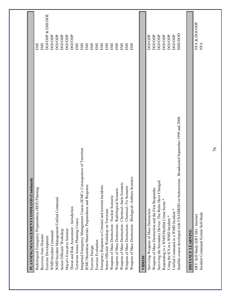| PLANNING/MANAGEMENT/COMMAND (Continued)                                                           |                   |
|---------------------------------------------------------------------------------------------------|-------------------|
| Radiological Emergency Preparedness (REP) Planning                                                | EMI               |
| Recovery from Disaster                                                                            | EMI               |
| Exercise Development                                                                              | DOJ/ODP & EMI/DOE |
| WMD Incident Command                                                                              | <b>DOJ/ODP</b>    |
| WMD Incident Management/Unified Command                                                           | <b>DOJ/ODP</b>    |
| Senior Officials' Workshop                                                                        | <b>POJ/ODP</b>    |
| Mayor's Executive Seminar                                                                         | <b>DOJ/ODP</b>    |
| Threat and Risk Assessment - Jurisdiction                                                         | <b>DOJ/ODP</b>    |
| Terrorism Annex Planning Course                                                                   | EMI               |
| Integrated Emergency Management Course (IEMC): Consequences of Terrorism                          | EMI               |
| IEMC/Hazardous Materials: Preparedness and Response                                               | EMI               |
| Exercise Design                                                                                   | EMI               |
| Exercise Evaluation                                                                               | EMI               |
| Emergency Response to Criminal and terrorist Incidents                                            | EMI               |
| Senior Officials Workshop on Terrorism                                                            | EMI               |
| Weapons of Mass Destruction: Nuclear Scenario                                                     | EMI               |
| Weapons of Mass Destruction: Radiological Scenario                                                | EMI               |
| Weapons of Mass Destruction: Chemical--Sarin Scenario                                             | EMI               |
| Weapons of Mass Destruction: Chemical--Vx Scenario                                                | EMI               |
| Weapons of Mass Destruction: Biological-Anthrax Scenario                                          | EMI               |
|                                                                                                   |                   |
| VIDEOS                                                                                            |                   |
| Surviving Weapons of Mass Destruction                                                             | <b>POJ/ODP</b>    |
| Weapons of Mass Destruction and the First Responder                                               | <b>DOJ/ODP</b>    |
| Surviving the Secondary Device: The Rules Have Changed                                            | <b>DOJ/ODP</b>    |
| Responding to a WMD/HazMat Crime Scene *                                                          | DOJ/ODP           |
| Using the ICS in a WMD Incident *                                                                 | <b>DOJ/ODP</b>    |
| Unified Command in a WMD Incident *                                                               | <b>DOJ/ODP</b>    |
| Broadcasted September 1999 and 2000.<br>Satellite course developed with USAMRIID on bioterrorism. | HIS/DOD           |
|                                                                                                   |                   |
| DISTANCE LEARNING                                                                                 |                   |
| ERT: Self-Study (ERT:SS) - Internet                                                               | NFA & DOJ/ODP     |
| Incident Command System Self-Study                                                                | <b>NFA</b>        |
|                                                                                                   |                   |
| 76                                                                                                |                   |